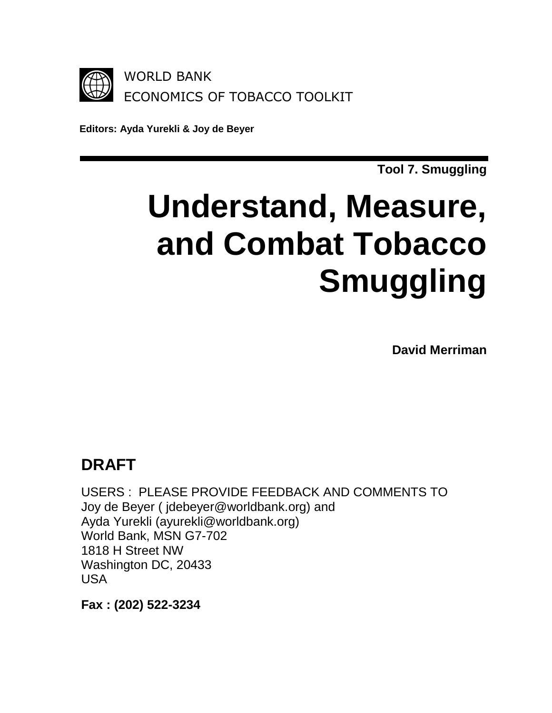

**Editors: Ayda Yurekli & Joy de Beyer**

**Tool 7. Smuggling**

# **Understand, Measure, and Combat Tobacco Smuggling**

**David Merriman**

# **DRAFT**

USERS : PLEASE PROVIDE FEEDBACK AND COMMENTS TO Joy de Beyer ( jdebeyer@worldbank.org) and Ayda Yurekli (ayurekli@worldbank.org) World Bank, MSN G7-702 1818 H Street NW Washington DC, 20433 USA

**Fax : (202) 522-3234**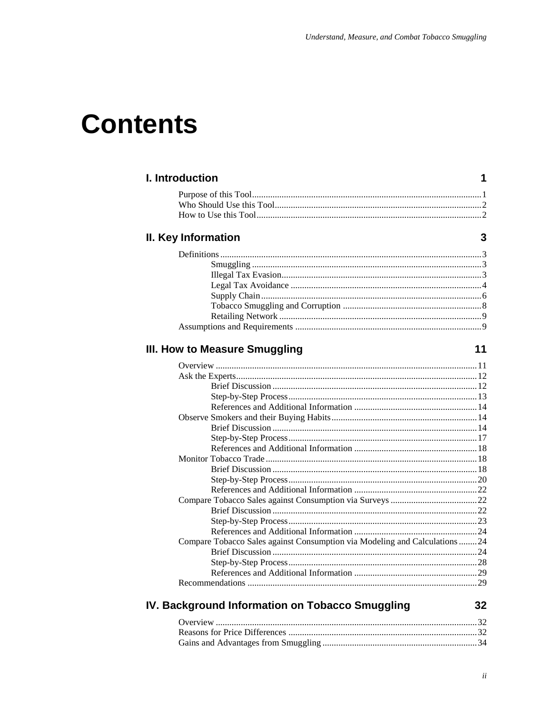# **Contents**

## I. Introduction

## II. Key Information

# III. How to Measure Smuggling

## $11$

 $\mathbf 1$ 

 $\mathbf{3}$ 

| Compare Tobacco Sales against Consumption via Modeling and Calculations24 |  |
|---------------------------------------------------------------------------|--|
|                                                                           |  |
|                                                                           |  |
|                                                                           |  |
|                                                                           |  |
|                                                                           |  |

# IV. Background Information on Tobacco Smuggling

 $32$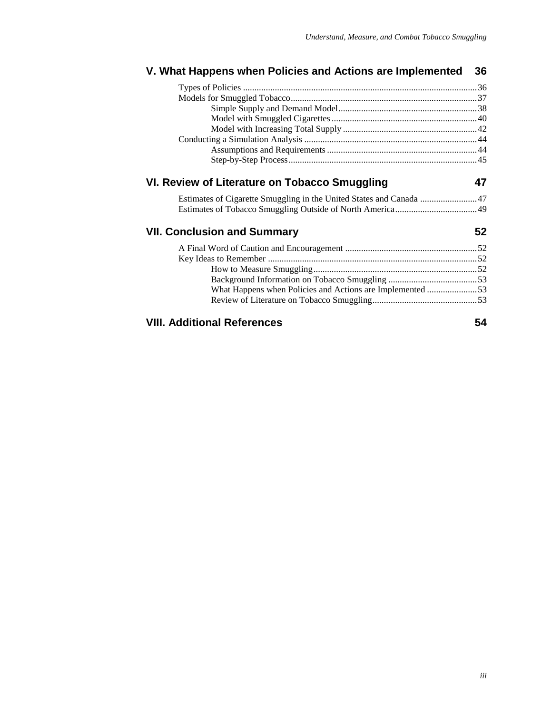### **V. What Happens when Policies and Actions are Implemented 36** Types of Policies .......................................................................................................36 Models for Smuggled Tobacco..................................................................................37 Simple Supply and Demand Model.............................................................38 Model with Smuggled Cigarettes................................................................40 Model with Increasing Total Supply ...........................................................42 Conducting a Simulation Analysis ............................................................................44 Assumptions and Requirements..................................................................44 Step-by-Step Process...................................................................................45 **VI. Review of Literature on Tobacco Smuggling 47** Estimates of Cigarette Smuggling in the United States and Canada .........................47 Estimates of Tobacco Smuggling Outside of North America....................................49

#### **VII. Conclusion and Summary 52**

| What Happens when Policies and Actions are Implemented 53 |  |
|-----------------------------------------------------------|--|
|                                                           |  |
|                                                           |  |

### **VIII. Additional References 54**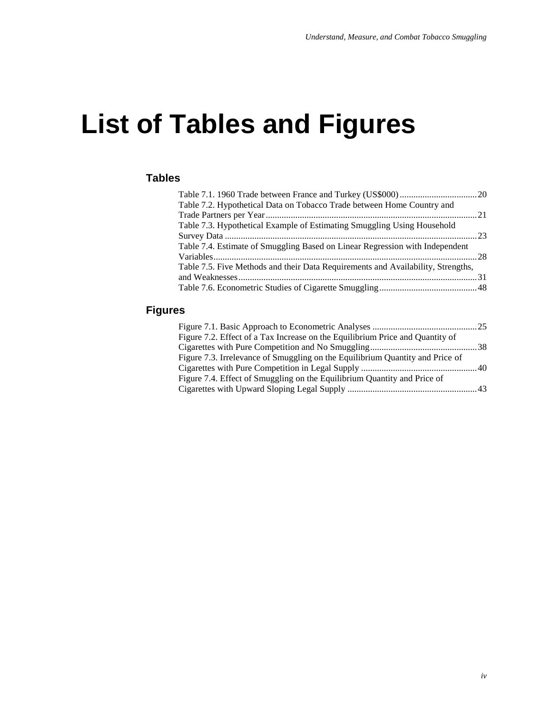# **List of Tables and Figures**

### **Tables**

| Table 7.2. Hypothetical Data on Tobacco Trade between Home Country and           |  |
|----------------------------------------------------------------------------------|--|
|                                                                                  |  |
| Table 7.3. Hypothetical Example of Estimating Smuggling Using Household          |  |
|                                                                                  |  |
| Table 7.4. Estimate of Smuggling Based on Linear Regression with Independent     |  |
|                                                                                  |  |
| Table 7.5. Five Methods and their Data Requirements and Availability, Strengths, |  |
|                                                                                  |  |
|                                                                                  |  |

### **Figures**

| Figure 7.2. Effect of a Tax Increase on the Equilibrium Price and Quantity of |  |
|-------------------------------------------------------------------------------|--|
|                                                                               |  |
| Figure 7.3. Irrelevance of Smuggling on the Equilibrium Quantity and Price of |  |
|                                                                               |  |
| Figure 7.4. Effect of Smuggling on the Equilibrium Quantity and Price of      |  |
|                                                                               |  |
|                                                                               |  |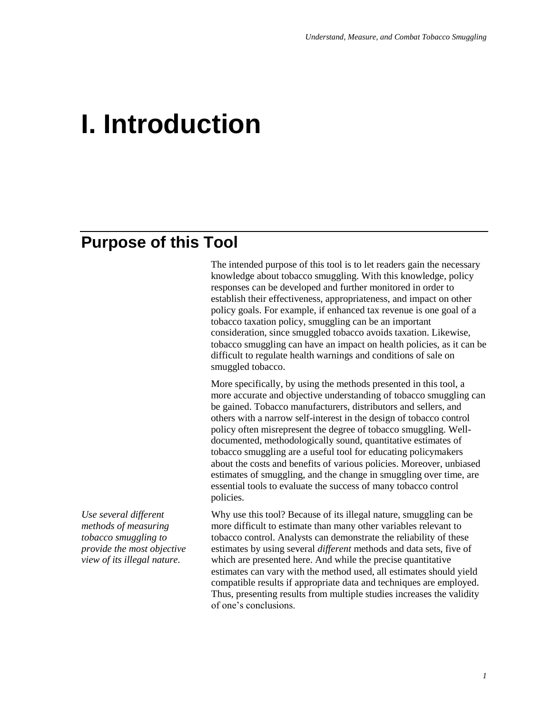# **I. Introduction**

# **Purpose of this Tool**

The intended purpose of this tool is to let readers gain the necessary knowledge about tobacco smuggling. With this knowledge, policy responses can be developed and further monitored in order to establish their effectiveness, appropriateness, and impact on other policy goals. For example, if enhanced tax revenue is one goal of a tobacco taxation policy, smuggling can be an important consideration, since smuggled tobacco avoids taxation. Likewise, tobacco smuggling can have an impact on health policies, as it can be difficult to regulate health warnings and conditions of sale on smuggled tobacco.

More specifically, by using the methods presented in this tool, a more accurate and objective understanding of tobacco smuggling can be gained. Tobacco manufacturers, distributors and sellers, and others with a narrow self-interest in the design of tobacco control policy often misrepresent the degree of tobacco smuggling. Welldocumented, methodologically sound, quantitative estimates of tobacco smuggling are a useful tool for educating policymakers about the costs and benefits of various policies. Moreover, unbiased estimates of smuggling, and the change in smuggling over time, are essential tools to evaluate the success of many tobacco control policies.

*Use several different methods of measuring tobacco smuggling to provide the most objective view of its illegal nature.*

Why use this tool? Because of its illegal nature, smuggling can be more difficult to estimate than many other variables relevant to tobacco control. Analysts can demonstrate the reliability of these estimates by using several *different* methods and data sets, five of which are presented here. And while the precise quantitative estimates can vary with the method used, all estimates should yield compatible results if appropriate data and techniques are employed. Thus, presenting results from multiple studies increases the validity of one's conclusions.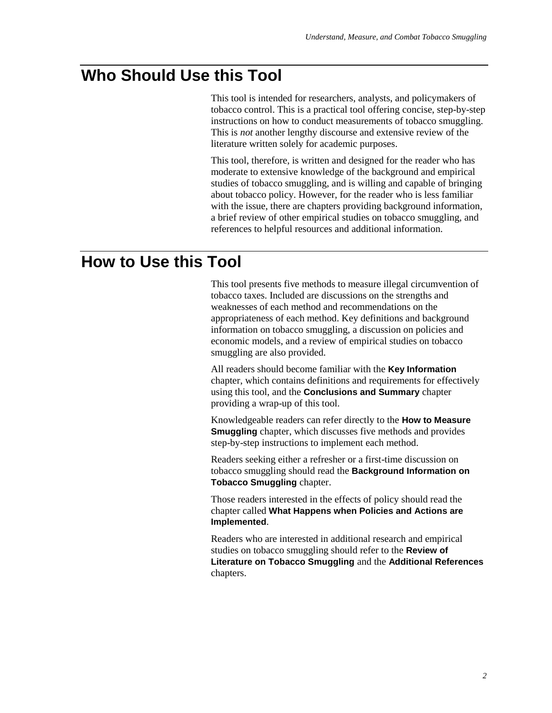# **Who Should Use this Tool**

This tool is intended for researchers, analysts, and policymakers of tobacco control. This is a practical tool offering concise, step-by-step instructions on how to conduct measurements of tobacco smuggling. This is *not* another lengthy discourse and extensive review of the literature written solely for academic purposes.

This tool, therefore, is written and designed for the reader who has moderate to extensive knowledge of the background and empirical studies of tobacco smuggling, and is willing and capable of bringing about tobacco policy. However, for the reader who is less familiar with the issue, there are chapters providing background information, a brief review of other empirical studies on tobacco smuggling, and references to helpful resources and additional information.

# **How to Use this Tool**

This tool presents five methods to measure illegal circumvention of tobacco taxes. Included are discussions on the strengths and weaknesses of each method and recommendations on the appropriateness of each method. Key definitions and background information on tobacco smuggling, a discussion on policies and economic models, and a review of empirical studies on tobacco smuggling are also provided.

All readers should become familiar with the **Key Information** chapter, which contains definitions and requirements for effectively using this tool, and the **Conclusions and Summary** chapter providing a wrap-up of this tool.

Knowledgeable readers can refer directly to the **How to Measure Smuggling** chapter, which discusses five methods and provides step-by-step instructions to implement each method.

Readers seeking either a refresher or a first-time discussion on tobacco smuggling should read the **Background Information on Tobacco Smuggling** chapter.

Those readers interested in the effects of policy should read the chapter called **What Happens when Policies and Actions are Implemented**.

Readers who are interested in additional research and empirical studies on tobacco smuggling should refer to the **Review of Literature on Tobacco Smuggling** and the **Additional References** chapters.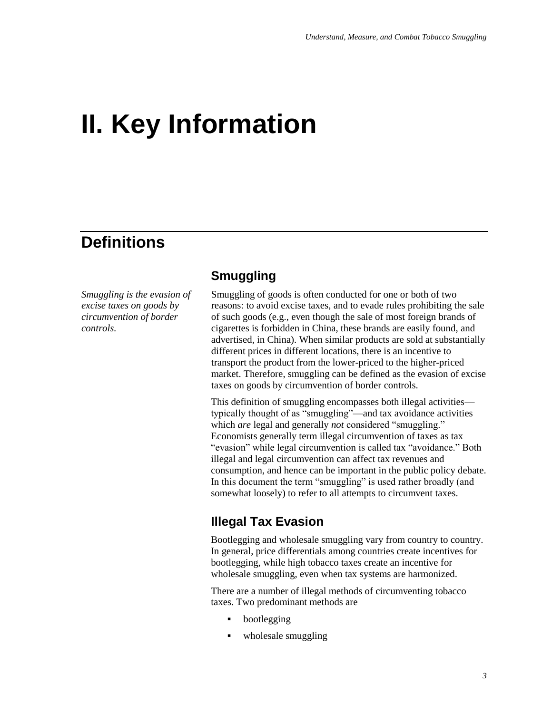# **II. Key Information**

# **Definitions**

*Smuggling is the evasion of excise taxes on goods by circumvention of border controls.*

## **Smuggling**

Smuggling of goods is often conducted for one or both of two reasons: to avoid excise taxes, and to evade rules prohibiting the sale of such goods (e.g., even though the sale of most foreign brands of cigarettes is forbidden in China, these brands are easily found, and advertised, in China). When similar products are sold at substantially different prices in different locations, there is an incentive to transport the product from the lower-priced to the higher-priced market. Therefore, smuggling can be defined as the evasion of excise taxes on goods by circumvention of border controls.

This definition of smuggling encompasses both illegal activities typically thought of as "smuggling"—and tax avoidance activities which *are* legal and generally *not* considered "smuggling." Economists generally term illegal circumvention of taxes as tax "evasion" while legal circumvention is called tax "avoidance." Both illegal and legal circumvention can affect tax revenues and consumption, and hence can be important in the public policy debate. In this document the term "smuggling" is used rather broadly (and somewhat loosely) to refer to all attempts to circumvent taxes.

### **Illegal Tax Evasion**

Bootlegging and wholesale smuggling vary from country to country. In general, price differentials among countries create incentives for bootlegging, while high tobacco taxes create an incentive for wholesale smuggling, even when tax systems are harmonized.

There are a number of illegal methods of circumventing tobacco taxes. Two predominant methods are

- bootlegging
- wholesale smuggling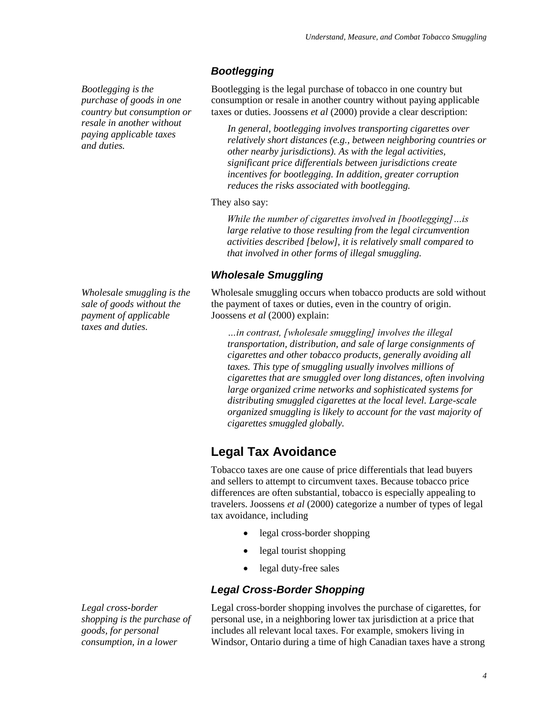*Bootlegging is the purchase of goods in one country but consumption or resale in another without paying applicable taxes and duties.*

*Wholesale smuggling is the sale of goods without the payment of applicable taxes and duties.*

### *Bootlegging*

Bootlegging is the legal purchase of tobacco in one country but consumption or resale in another country without paying applicable taxes or duties. Joossens *et al* (2000) provide a clear description:

*In general, bootlegging involves transporting cigarettes over relatively short distances (e.g., between neighboring countries or other nearby jurisdictions). As with the legal activities, significant price differentials between jurisdictions create incentives for bootlegging. In addition, greater corruption reduces the risks associated with bootlegging.*

They also say:

*While the number of cigarettes involved in [bootlegging]…is large relative to those resulting from the legal circumvention activities described [below], it is relatively small compared to that involved in other forms of illegal smuggling.*

### *Wholesale Smuggling*

Wholesale smuggling occurs when tobacco products are sold without the payment of taxes or duties, even in the country of origin. Joossens *et al* (2000) explain:

*…in contrast, [wholesale smuggling] involves the illegal transportation, distribution, and sale of large consignments of cigarettes and other tobacco products, generally avoiding all taxes. This type of smuggling usually involves millions of cigarettes that are smuggled over long distances, often involving large organized crime networks and sophisticated systems for distributing smuggled cigarettes at the local level. Large-scale organized smuggling is likely to account for the vast majority of cigarettes smuggled globally.*

# **Legal Tax Avoidance**

Tobacco taxes are one cause of price differentials that lead buyers and sellers to attempt to circumvent taxes. Because tobacco price differences are often substantial, tobacco is especially appealing to travelers. Joossens *et al* (2000) categorize a number of types of legal tax avoidance, including

- legal cross-border shopping
- legal tourist shopping
- legal duty-free sales

### *Legal Cross-Border Shopping*

Legal cross-border shopping involves the purchase of cigarettes, for personal use, in a neighboring lower tax jurisdiction at a price that includes all relevant local taxes. For example, smokers living in Windsor, Ontario during a time of high Canadian taxes have a strong

*Legal cross-border shopping is the purchase of goods, for personal consumption, in a lower*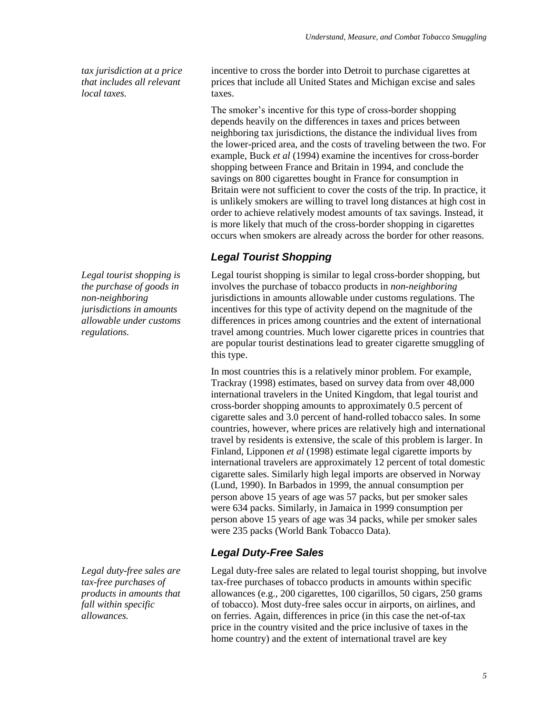*tax jurisdiction at a price that includes all relevant local taxes.*

*Legal tourist shopping is the purchase of goods in non-neighboring jurisdictions in amounts allowable under customs regulations.*

*Legal duty-free sales are tax-free purchases of products in amounts that fall within specific allowances.*

incentive to cross the border into Detroit to purchase cigarettes at prices that include all United States and Michigan excise and sales taxes.

The smoker's incentive for this type of cross-border shopping depends heavily on the differences in taxes and prices between neighboring tax jurisdictions, the distance the individual lives from the lower-priced area, and the costs of traveling between the two. For example, Buck *et al* (1994) examine the incentives for cross-border shopping between France and Britain in 1994, and conclude the savings on 800 cigarettes bought in France for consumption in Britain were not sufficient to cover the costs of the trip. In practice, it is unlikely smokers are willing to travel long distances at high cost in order to achieve relatively modest amounts of tax savings. Instead, it is more likely that much of the cross-border shopping in cigarettes occurs when smokers are already across the border for other reasons.

## *Legal Tourist Shopping*

Legal tourist shopping is similar to legal cross-border shopping, but involves the purchase of tobacco products in *non-neighboring* jurisdictions in amounts allowable under customs regulations. The incentives for this type of activity depend on the magnitude of the differences in prices among countries and the extent of international travel among countries. Much lower cigarette prices in countries that are popular tourist destinations lead to greater cigarette smuggling of this type.

In most countries this is a relatively minor problem. For example, Trackray (1998) estimates, based on survey data from over 48,000 international travelers in the United Kingdom, that legal tourist and cross-border shopping amounts to approximately 0.5 percent of cigarette sales and 3.0 percent of hand-rolled tobacco sales. In some countries, however, where prices are relatively high and international travel by residents is extensive, the scale of this problem is larger. In Finland, Lipponen *et al* (1998) estimate legal cigarette imports by international travelers are approximately 12 percent of total domestic cigarette sales. Similarly high legal imports are observed in Norway (Lund, 1990). In Barbados in 1999, the annual consumption per person above 15 years of age was 57 packs, but per smoker sales were 634 packs. Similarly, in Jamaica in 1999 consumption per person above 15 years of age was 34 packs, while per smoker sales were 235 packs (World Bank Tobacco Data).

### *Legal Duty-Free Sales*

Legal duty-free sales are related to legal tourist shopping, but involve tax-free purchases of tobacco products in amounts within specific allowances (e.g., 200 cigarettes, 100 cigarillos, 50 cigars, 250 grams of tobacco). Most duty-free sales occur in airports, on airlines, and on ferries. Again, differences in price (in this case the net-of-tax price in the country visited and the price inclusive of taxes in the home country) and the extent of international travel are key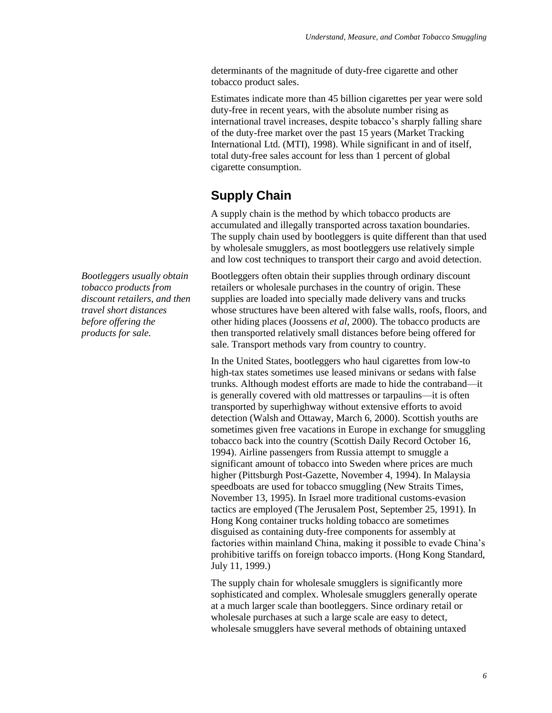determinants of the magnitude of duty-free cigarette and other tobacco product sales.

Estimates indicate more than 45 billion cigarettes per year were sold duty-free in recent years, with the absolute number rising as international travel increases, despite tobacco's sharply falling share of the duty-free market over the past 15 years (Market Tracking International Ltd. (MTI), 1998). While significant in and of itself, total duty-free sales account for less than 1 percent of global cigarette consumption.

# **Supply Chain**

A supply chain is the method by which tobacco products are accumulated and illegally transported across taxation boundaries. The supply chain used by bootleggers is quite different than that used by wholesale smugglers, as most bootleggers use relatively simple and low cost techniques to transport their cargo and avoid detection.

Bootleggers often obtain their supplies through ordinary discount retailers or wholesale purchases in the country of origin. These supplies are loaded into specially made delivery vans and trucks whose structures have been altered with false walls, roofs, floors, and other hiding places (Joossens *et al*, 2000). The tobacco products are then transported relatively small distances before being offered for sale. Transport methods vary from country to country.

In the United States, bootleggers who haul cigarettes from low-to high-tax states sometimes use leased minivans or sedans with false trunks. Although modest efforts are made to hide the contraband—it is generally covered with old mattresses or tarpaulins—it is often transported by superhighway without extensive efforts to avoid detection (Walsh and Ottaway, March 6, 2000). Scottish youths are sometimes given free vacations in Europe in exchange for smuggling tobacco back into the country (Scottish Daily Record October 16, 1994). Airline passengers from Russia attempt to smuggle a significant amount of tobacco into Sweden where prices are much higher (Pittsburgh Post-Gazette, November 4, 1994). In Malaysia speedboats are used for tobacco smuggling (New Straits Times, November 13, 1995). In Israel more traditional customs-evasion tactics are employed (The Jerusalem Post, September 25, 1991). In Hong Kong container trucks holding tobacco are sometimes disguised as containing duty-free components for assembly at factories within mainland China, making it possible to evade China's prohibitive tariffs on foreign tobacco imports. (Hong Kong Standard, July 11, 1999.)

The supply chain for wholesale smugglers is significantly more sophisticated and complex. Wholesale smugglers generally operate at a much larger scale than bootleggers. Since ordinary retail or wholesale purchases at such a large scale are easy to detect, wholesale smugglers have several methods of obtaining untaxed

*Bootleggers usually obtain tobacco products from discount retailers, and then travel short distances before offering the products for sale.*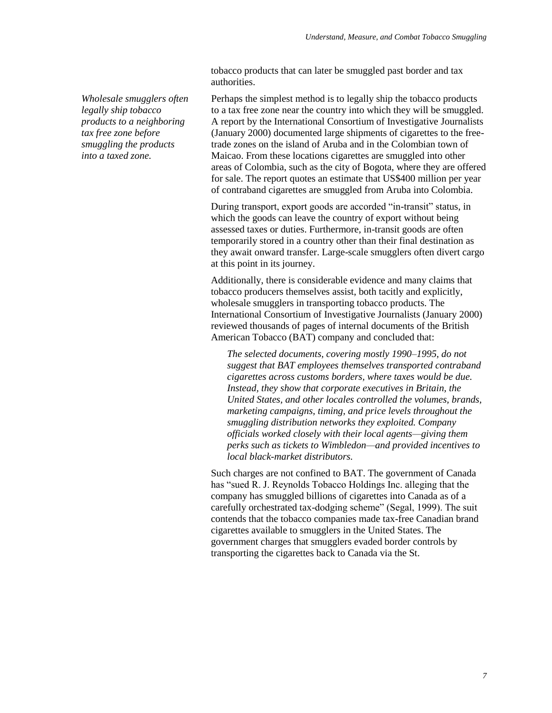tobacco products that can later be smuggled past border and tax authorities.

*Wholesale smugglers often legally ship tobacco products to a neighboring tax free zone before smuggling the products into a taxed zone.*

Perhaps the simplest method is to legally ship the tobacco products to a tax free zone near the country into which they will be smuggled. A report by the International Consortium of Investigative Journalists (January 2000) documented large shipments of cigarettes to the freetrade zones on the island of Aruba and in the Colombian town of Maicao. From these locations cigarettes are smuggled into other areas of Colombia, such as the city of Bogota, where they are offered for sale. The report quotes an estimate that US\$400 million per year of contraband cigarettes are smuggled from Aruba into Colombia.

During transport, export goods are accorded "in-transit" status, in which the goods can leave the country of export without being assessed taxes or duties. Furthermore, in-transit goods are often temporarily stored in a country other than their final destination as they await onward transfer. Large-scale smugglers often divert cargo at this point in its journey.

Additionally, there is considerable evidence and many claims that tobacco producers themselves assist, both tacitly and explicitly, wholesale smugglers in transporting tobacco products. The International Consortium of Investigative Journalists (January 2000) reviewed thousands of pages of internal documents of the British American Tobacco (BAT) company and concluded that:

*The selected documents, covering mostly 1990–1995, do not suggest that BAT employees themselves transported contraband cigarettes across customs borders, where taxes would be due. Instead, they show that corporate executives in Britain, the United States, and other locales controlled the volumes, brands, marketing campaigns, timing, and price levels throughout the smuggling distribution networks they exploited. Company officials worked closely with their local agents—giving them perks such as tickets to Wimbledon—and provided incentives to local black-market distributors.*

Such charges are not confined to BAT. The government of Canada has "sued R. J. Reynolds Tobacco Holdings Inc. alleging that the company has smuggled billions of cigarettes into Canada as of a carefully orchestrated tax-dodging scheme" (Segal, 1999). The suit contends that the tobacco companies made tax-free Canadian brand cigarettes available to smugglers in the United States. The government charges that smugglers evaded border controls by transporting the cigarettes back to Canada via the St.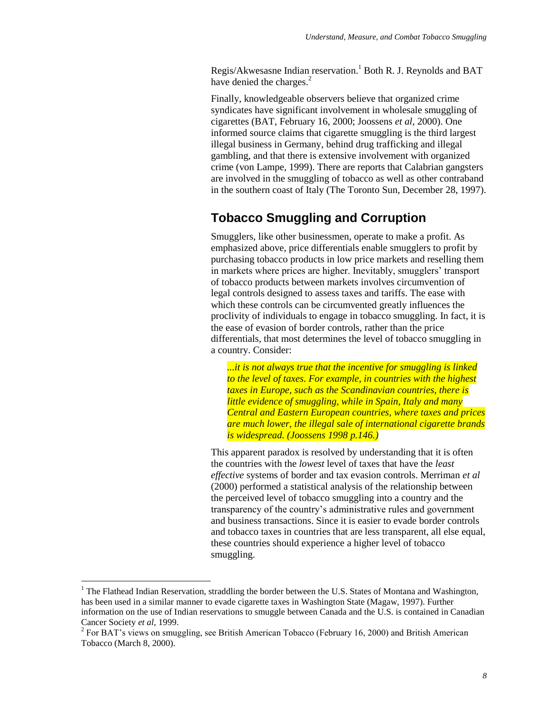Regis/Akwesasne Indian reservation.<sup>1</sup> Both R. J. Reynolds and BAT have denied the charges.<sup>2</sup>

Finally, knowledgeable observers believe that organized crime syndicates have significant involvement in wholesale smuggling of cigarettes (BAT, February 16, 2000; Joossens *et al*, 2000). One informed source claims that cigarette smuggling is the third largest illegal business in Germany, behind drug trafficking and illegal gambling, and that there is extensive involvement with organized crime (von Lampe, 1999). There are reports that Calabrian gangsters are involved in the smuggling of tobacco as well as other contraband in the southern coast of Italy (The Toronto Sun, December 28, 1997).

### **Tobacco Smuggling and Corruption**

Smugglers, like other businessmen, operate to make a profit. As emphasized above, price differentials enable smugglers to profit by purchasing tobacco products in low price markets and reselling them in markets where prices are higher. Inevitably, smugglers' transport of tobacco products between markets involves circumvention of legal controls designed to assess taxes and tariffs. The ease with which these controls can be circumvented greatly influences the proclivity of individuals to engage in tobacco smuggling. In fact, it is the ease of evasion of border controls, rather than the price differentials, that most determines the level of tobacco smuggling in a country. Consider:

*...it is not always true that the incentive for smuggling is linked to the level of taxes. For example, in countries with the highest taxes in Europe, such as the Scandinavian countries, there is little evidence of smuggling, while in Spain, Italy and many Central and Eastern European countries, where taxes and prices are much lower, the illegal sale of international cigarette brands is widespread. (Joossens 1998 p.146.)*

This apparent paradox is resolved by understanding that it is often the countries with the *lowest* level of taxes that have the *least effective* systems of border and tax evasion controls. Merriman *et al* (2000) performed a statistical analysis of the relationship between the perceived level of tobacco smuggling into a country and the transparency of the country's administrative rules and government and business transactions. Since it is easier to evade border controls and tobacco taxes in countries that are less transparent, all else equal, these countries should experience a higher level of tobacco smuggling.

 $\overline{a}$ 

<sup>&</sup>lt;sup>1</sup> The Flathead Indian Reservation, straddling the border between the U.S. States of Montana and Washington, has been used in a similar manner to evade cigarette taxes in Washington State (Magaw, 1997). Further information on the use of Indian reservations to smuggle between Canada and the U.S. is contained in Canadian Cancer Society *et al*, 1999.

<sup>&</sup>lt;sup>2</sup> For BAT's views on smuggling, see British American Tobacco (February 16, 2000) and British American Tobacco (March 8, 2000).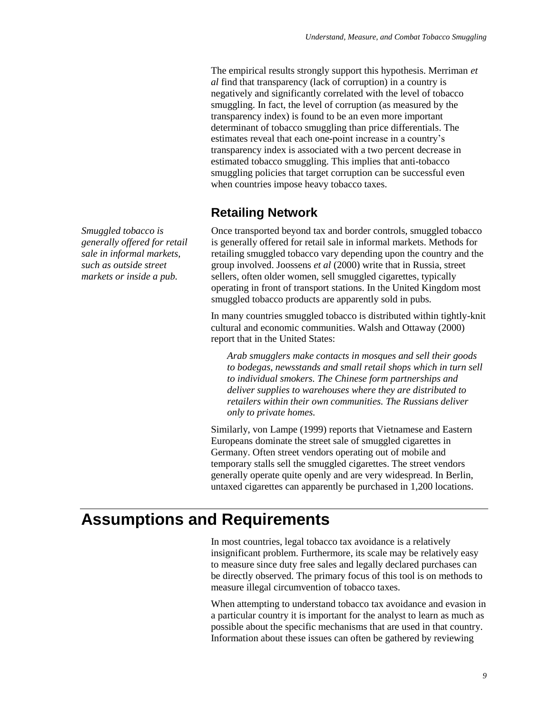The empirical results strongly support this hypothesis. Merriman *et al* find that transparency (lack of corruption) in a country is negatively and significantly correlated with the level of tobacco smuggling. In fact, the level of corruption (as measured by the transparency index) is found to be an even more important determinant of tobacco smuggling than price differentials. The estimates reveal that each one-point increase in a country's transparency index is associated with a two percent decrease in estimated tobacco smuggling. This implies that anti-tobacco smuggling policies that target corruption can be successful even when countries impose heavy tobacco taxes.

# **Retailing Network**

Once transported beyond tax and border controls, smuggled tobacco is generally offered for retail sale in informal markets. Methods for retailing smuggled tobacco vary depending upon the country and the group involved. Joossens *et al* (2000) write that in Russia, street sellers, often older women, sell smuggled cigarettes, typically operating in front of transport stations. In the United Kingdom most smuggled tobacco products are apparently sold in pubs.

In many countries smuggled tobacco is distributed within tightly-knit cultural and economic communities. Walsh and Ottaway (2000) report that in the United States:

*Arab smugglers make contacts in mosques and sell their goods to bodegas, newsstands and small retail shops which in turn sell to individual smokers. The Chinese form partnerships and deliver supplies to warehouses where they are distributed to retailers within their own communities. The Russians deliver only to private homes.*

Similarly, von Lampe (1999) reports that Vietnamese and Eastern Europeans dominate the street sale of smuggled cigarettes in Germany. Often street vendors operating out of mobile and temporary stalls sell the smuggled cigarettes. The street vendors generally operate quite openly and are very widespread. In Berlin, untaxed cigarettes can apparently be purchased in 1,200 locations.

# **Assumptions and Requirements**

In most countries, legal tobacco tax avoidance is a relatively insignificant problem. Furthermore, its scale may be relatively easy to measure since duty free sales and legally declared purchases can be directly observed. The primary focus of this tool is on methods to measure illegal circumvention of tobacco taxes.

When attempting to understand tobacco tax avoidance and evasion in a particular country it is important for the analyst to learn as much as possible about the specific mechanisms that are used in that country. Information about these issues can often be gathered by reviewing

*Smuggled tobacco is generally offered for retail sale in informal markets, such as outside street markets or inside a pub.*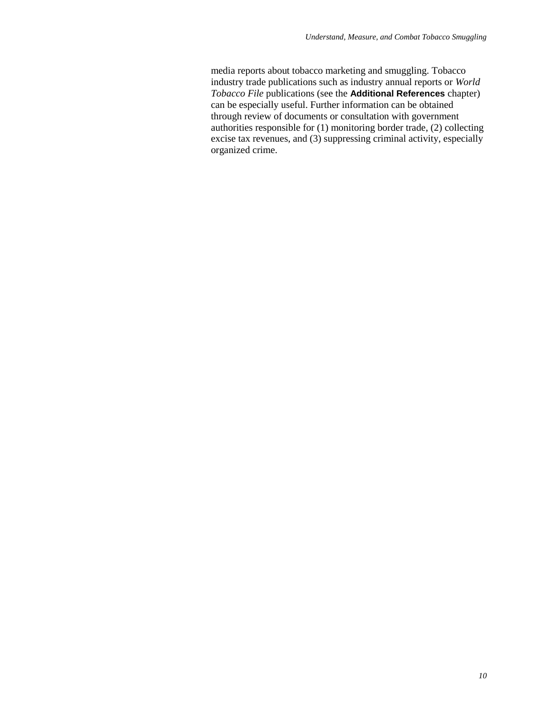media reports about tobacco marketing and smuggling. Tobacco industry trade publications such as industry annual reports or *World Tobacco File* publications (see the **Additional References** chapter) can be especially useful. Further information can be obtained through review of documents or consultation with government authorities responsible for (1) monitoring border trade, (2) collecting excise tax revenues, and (3) suppressing criminal activity, especially organized crime.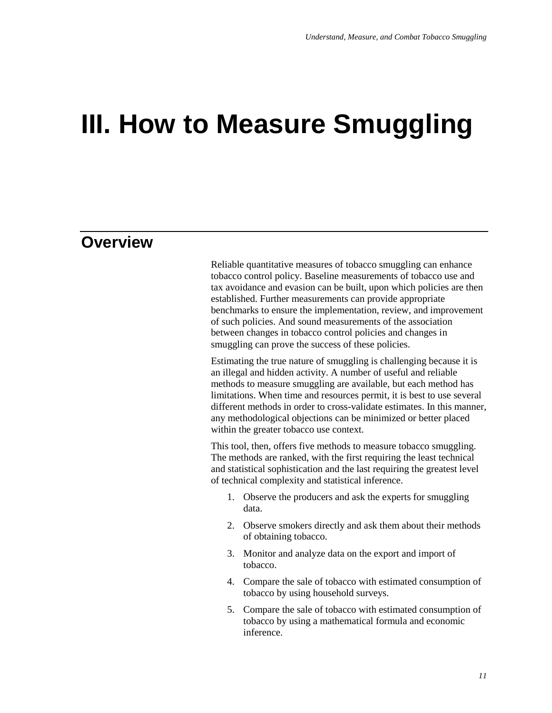# **III. How to Measure Smuggling**

# **Overview**

Reliable quantitative measures of tobacco smuggling can enhance tobacco control policy. Baseline measurements of tobacco use and tax avoidance and evasion can be built, upon which policies are then established. Further measurements can provide appropriate benchmarks to ensure the implementation, review, and improvement of such policies. And sound measurements of the association between changes in tobacco control policies and changes in smuggling can prove the success of these policies.

Estimating the true nature of smuggling is challenging because it is an illegal and hidden activity. A number of useful and reliable methods to measure smuggling are available, but each method has limitations. When time and resources permit, it is best to use several different methods in order to cross-validate estimates. In this manner, any methodological objections can be minimized or better placed within the greater tobacco use context.

This tool, then, offers five methods to measure tobacco smuggling. The methods are ranked, with the first requiring the least technical and statistical sophistication and the last requiring the greatest level of technical complexity and statistical inference.

- 1. Observe the producers and ask the experts for smuggling data.
- 2. Observe smokers directly and ask them about their methods of obtaining tobacco.
- 3. Monitor and analyze data on the export and import of tobacco.
- 4. Compare the sale of tobacco with estimated consumption of tobacco by using household surveys.
- 5. Compare the sale of tobacco with estimated consumption of tobacco by using a mathematical formula and economic inference.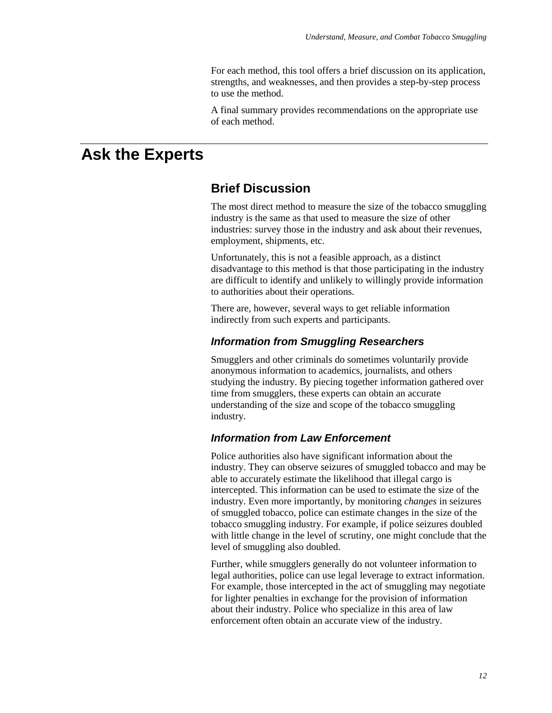For each method, this tool offers a brief discussion on its application, strengths, and weaknesses, and then provides a step-by-step process to use the method.

A final summary provides recommendations on the appropriate use of each method.

# **Ask the Experts**

### **Brief Discussion**

The most direct method to measure the size of the tobacco smuggling industry is the same as that used to measure the size of other industries: survey those in the industry and ask about their revenues, employment, shipments, etc.

Unfortunately, this is not a feasible approach, as a distinct disadvantage to this method is that those participating in the industry are difficult to identify and unlikely to willingly provide information to authorities about their operations.

There are, however, several ways to get reliable information indirectly from such experts and participants.

#### *Information from Smuggling Researchers*

Smugglers and other criminals do sometimes voluntarily provide anonymous information to academics, journalists, and others studying the industry. By piecing together information gathered over time from smugglers, these experts can obtain an accurate understanding of the size and scope of the tobacco smuggling industry.

### *Information from Law Enforcement*

Police authorities also have significant information about the industry. They can observe seizures of smuggled tobacco and may be able to accurately estimate the likelihood that illegal cargo is intercepted. This information can be used to estimate the size of the industry. Even more importantly, by monitoring *changes* in seizures of smuggled tobacco, police can estimate changes in the size of the tobacco smuggling industry. For example, if police seizures doubled with little change in the level of scrutiny, one might conclude that the level of smuggling also doubled.

Further, while smugglers generally do not volunteer information to legal authorities, police can use legal leverage to extract information. For example, those intercepted in the act of smuggling may negotiate for lighter penalties in exchange for the provision of information about their industry. Police who specialize in this area of law enforcement often obtain an accurate view of the industry.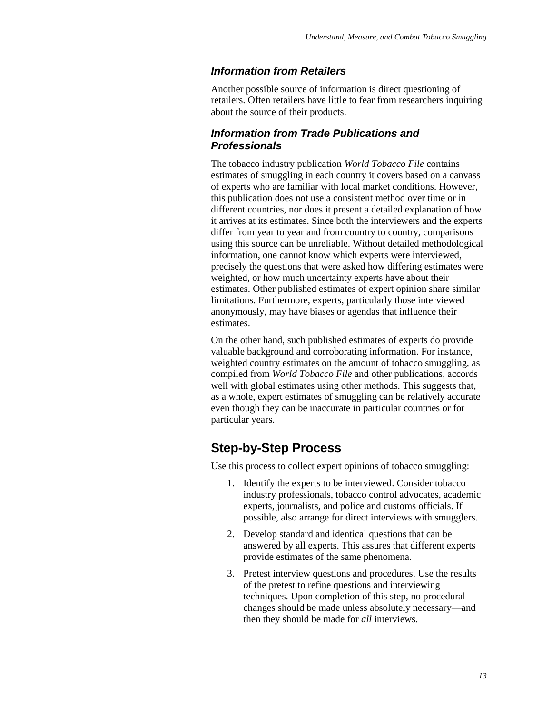### *Information from Retailers*

Another possible source of information is direct questioning of retailers. Often retailers have little to fear from researchers inquiring about the source of their products.

#### *Information from Trade Publications and Professionals*

The tobacco industry publication *World Tobacco File* contains estimates of smuggling in each country it covers based on a canvass of experts who are familiar with local market conditions. However, this publication does not use a consistent method over time or in different countries, nor does it present a detailed explanation of how it arrives at its estimates. Since both the interviewers and the experts differ from year to year and from country to country, comparisons using this source can be unreliable. Without detailed methodological information, one cannot know which experts were interviewed, precisely the questions that were asked how differing estimates were weighted, or how much uncertainty experts have about their estimates. Other published estimates of expert opinion share similar limitations. Furthermore, experts, particularly those interviewed anonymously, may have biases or agendas that influence their estimates.

On the other hand, such published estimates of experts do provide valuable background and corroborating information. For instance, weighted country estimates on the amount of tobacco smuggling, as compiled from *World Tobacco File* and other publications, accords well with global estimates using other methods. This suggests that, as a whole, expert estimates of smuggling can be relatively accurate even though they can be inaccurate in particular countries or for particular years.

### **Step-by-Step Process**

Use this process to collect expert opinions of tobacco smuggling:

- 1. Identify the experts to be interviewed. Consider tobacco industry professionals, tobacco control advocates, academic experts, journalists, and police and customs officials. If possible, also arrange for direct interviews with smugglers.
- 2. Develop standard and identical questions that can be answered by all experts. This assures that different experts provide estimates of the same phenomena.
- 3. Pretest interview questions and procedures. Use the results of the pretest to refine questions and interviewing techniques. Upon completion of this step, no procedural changes should be made unless absolutely necessary—and then they should be made for *all* interviews.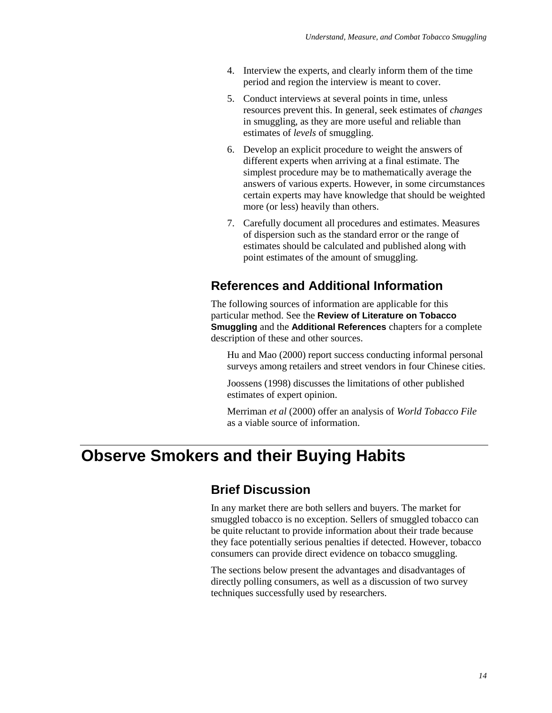- 4. Interview the experts, and clearly inform them of the time period and region the interview is meant to cover.
- 5. Conduct interviews at several points in time, unless resources prevent this. In general, seek estimates of *changes* in smuggling, as they are more useful and reliable than estimates of *levels* of smuggling.
- 6. Develop an explicit procedure to weight the answers of different experts when arriving at a final estimate. The simplest procedure may be to mathematically average the answers of various experts. However, in some circumstances certain experts may have knowledge that should be weighted more (or less) heavily than others.
- 7. Carefully document all procedures and estimates. Measures of dispersion such as the standard error or the range of estimates should be calculated and published along with point estimates of the amount of smuggling.

### **References and Additional Information**

The following sources of information are applicable for this particular method. See the **Review of Literature on Tobacco Smuggling** and the **Additional References** chapters for a complete description of these and other sources.

Hu and Mao (2000) report success conducting informal personal surveys among retailers and street vendors in four Chinese cities.

Joossens (1998) discusses the limitations of other published estimates of expert opinion.

Merriman *et al* (2000) offer an analysis of *World Tobacco File* as a viable source of information.

# **Observe Smokers and their Buying Habits**

### **Brief Discussion**

In any market there are both sellers and buyers. The market for smuggled tobacco is no exception. Sellers of smuggled tobacco can be quite reluctant to provide information about their trade because they face potentially serious penalties if detected. However, tobacco consumers can provide direct evidence on tobacco smuggling.

The sections below present the advantages and disadvantages of directly polling consumers, as well as a discussion of two survey techniques successfully used by researchers.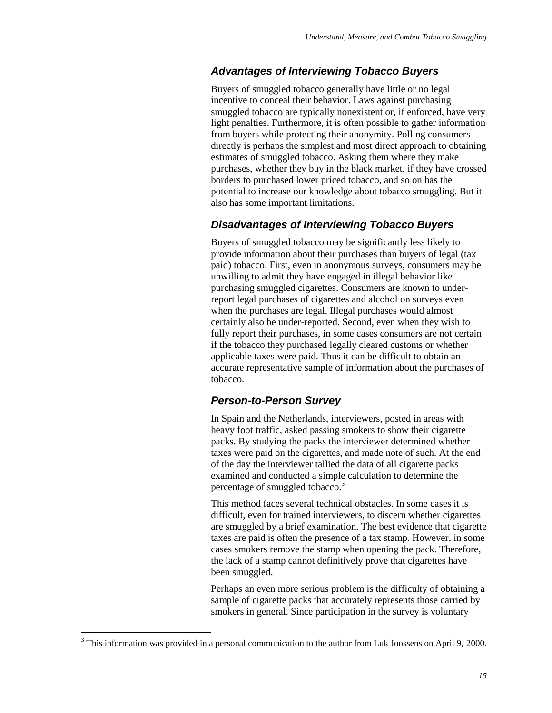### *Advantages of Interviewing Tobacco Buyers*

Buyers of smuggled tobacco generally have little or no legal incentive to conceal their behavior. Laws against purchasing smuggled tobacco are typically nonexistent or, if enforced, have very light penalties. Furthermore, it is often possible to gather information from buyers while protecting their anonymity. Polling consumers directly is perhaps the simplest and most direct approach to obtaining estimates of smuggled tobacco. Asking them where they make purchases, whether they buy in the black market, if they have crossed borders to purchased lower priced tobacco, and so on has the potential to increase our knowledge about tobacco smuggling. But it also has some important limitations.

#### *Disadvantages of Interviewing Tobacco Buyers*

Buyers of smuggled tobacco may be significantly less likely to provide information about their purchases than buyers of legal (tax paid) tobacco. First, even in anonymous surveys, consumers may be unwilling to admit they have engaged in illegal behavior like purchasing smuggled cigarettes. Consumers are known to underreport legal purchases of cigarettes and alcohol on surveys even when the purchases are legal. Illegal purchases would almost certainly also be under-reported. Second, even when they wish to fully report their purchases, in some cases consumers are not certain if the tobacco they purchased legally cleared customs or whether applicable taxes were paid. Thus it can be difficult to obtain an accurate representative sample of information about the purchases of tobacco.

### *Person-to-Person Survey*

In Spain and the Netherlands, interviewers, posted in areas with heavy foot traffic, asked passing smokers to show their cigarette packs. By studying the packs the interviewer determined whether taxes were paid on the cigarettes, and made note of such. At the end of the day the interviewer tallied the data of all cigarette packs examined and conducted a simple calculation to determine the percentage of smuggled tobacco.<sup>3</sup>

This method faces several technical obstacles. In some cases it is difficult, even for trained interviewers, to discern whether cigarettes are smuggled by a brief examination. The best evidence that cigarette taxes are paid is often the presence of a tax stamp. However, in some cases smokers remove the stamp when opening the pack. Therefore, the lack of a stamp cannot definitively prove that cigarettes have been smuggled.

Perhaps an even more serious problem is the difficulty of obtaining a sample of cigarette packs that accurately represents those carried by smokers in general. Since participation in the survey is voluntary

 $\overline{a}$ 

<sup>&</sup>lt;sup>3</sup> This information was provided in a personal communication to the author from Luk Joossens on April 9, 2000.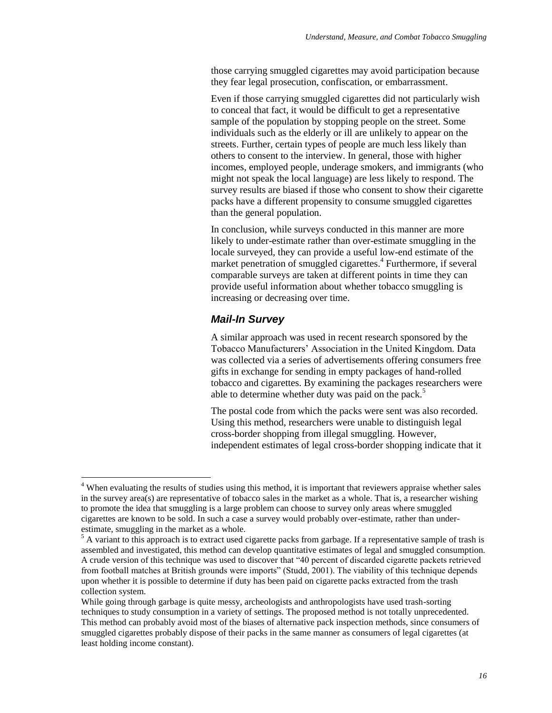those carrying smuggled cigarettes may avoid participation because they fear legal prosecution, confiscation, or embarrassment.

Even if those carrying smuggled cigarettes did not particularly wish to conceal that fact, it would be difficult to get a representative sample of the population by stopping people on the street. Some individuals such as the elderly or ill are unlikely to appear on the streets. Further, certain types of people are much less likely than others to consent to the interview. In general, those with higher incomes, employed people, underage smokers, and immigrants (who might not speak the local language) are less likely to respond. The survey results are biased if those who consent to show their cigarette packs have a different propensity to consume smuggled cigarettes than the general population.

In conclusion, while surveys conducted in this manner are more likely to under-estimate rather than over-estimate smuggling in the locale surveyed, they can provide a useful low-end estimate of the market penetration of smuggled cigarettes.<sup>4</sup> Furthermore, if several comparable surveys are taken at different points in time they can provide useful information about whether tobacco smuggling is increasing or decreasing over time.

#### *Mail-In Survey*

 $\overline{a}$ 

A similar approach was used in recent research sponsored by the Tobacco Manufacturers' Association in the United Kingdom. Data was collected via a series of advertisements offering consumers free gifts in exchange for sending in empty packages of hand-rolled tobacco and cigarettes. By examining the packages researchers were able to determine whether duty was paid on the pack.<sup>5</sup>

The postal code from which the packs were sent was also recorded. Using this method, researchers were unable to distinguish legal cross-border shopping from illegal smuggling. However, independent estimates of legal cross-border shopping indicate that it

<sup>&</sup>lt;sup>4</sup> When evaluating the results of studies using this method, it is important that reviewers appraise whether sales in the survey area(s) are representative of tobacco sales in the market as a whole. That is, a researcher wishing to promote the idea that smuggling is a large problem can choose to survey only areas where smuggled cigarettes are known to be sold. In such a case a survey would probably over-estimate, rather than underestimate, smuggling in the market as a whole.

<sup>&</sup>lt;sup>5</sup> A variant to this approach is to extract used cigarette packs from garbage. If a representative sample of trash is assembled and investigated, this method can develop quantitative estimates of legal and smuggled consumption. A crude version of this technique was used to discover that "40 percent of discarded cigarette packets retrieved from football matches at British grounds were imports" (Studd, 2001). The viability of this technique depends upon whether it is possible to determine if duty has been paid on cigarette packs extracted from the trash collection system.

While going through garbage is quite messy, archeologists and anthropologists have used trash-sorting techniques to study consumption in a variety of settings. The proposed method is not totally unprecedented. This method can probably avoid most of the biases of alternative pack inspection methods, since consumers of smuggled cigarettes probably dispose of their packs in the same manner as consumers of legal cigarettes (at least holding income constant).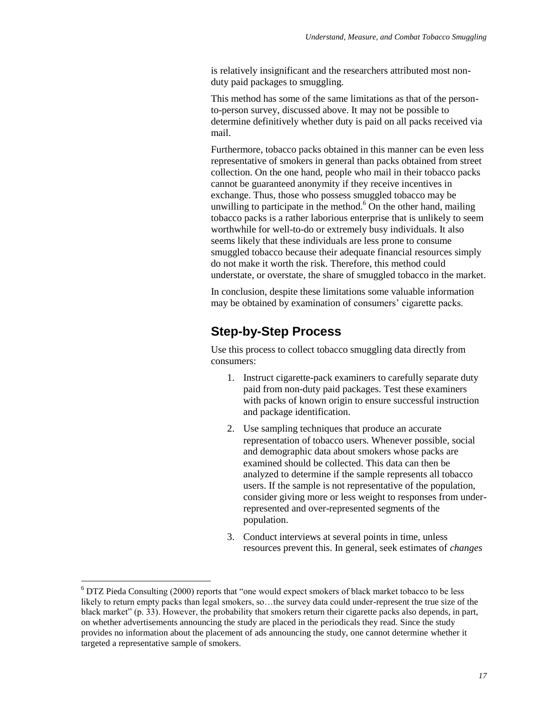is relatively insignificant and the researchers attributed most nonduty paid packages to smuggling.

This method has some of the same limitations as that of the personto-person survey, discussed above. It may not be possible to determine definitively whether duty is paid on all packs received via mail.

Furthermore, tobacco packs obtained in this manner can be even less representative of smokers in general than packs obtained from street collection. On the one hand, people who mail in their tobacco packs cannot be guaranteed anonymity if they receive incentives in exchange. Thus, those who possess smuggled tobacco may be unwilling to participate in the method. $6$  On the other hand, mailing tobacco packs is a rather laborious enterprise that is unlikely to seem worthwhile for well-to-do or extremely busy individuals. It also seems likely that these individuals are less prone to consume smuggled tobacco because their adequate financial resources simply do not make it worth the risk. Therefore, this method could understate, or overstate, the share of smuggled tobacco in the market.

In conclusion, despite these limitations some valuable information may be obtained by examination of consumers' cigarette packs.

# **Step-by-Step Process**

Use this process to collect tobacco smuggling data directly from consumers:

- 1. Instruct cigarette-pack examiners to carefully separate duty paid from non-duty paid packages. Test these examiners with packs of known origin to ensure successful instruction and package identification.
- 2. Use sampling techniques that produce an accurate representation of tobacco users. Whenever possible, social and demographic data about smokers whose packs are examined should be collected. This data can then be analyzed to determine if the sample represents all tobacco users. If the sample is not representative of the population, consider giving more or less weight to responses from underrepresented and over-represented segments of the population.
- 3. Conduct interviews at several points in time, unless resources prevent this. In general, seek estimates of *changes*

 $\overline{a}$ 

 $6$  DTZ Pieda Consulting (2000) reports that "one would expect smokers of black market tobacco to be less likely to return empty packs than legal smokers, so…the survey data could under-represent the true size of the black market" (p. 33). However, the probability that smokers return their cigarette packs also depends, in part, on whether advertisements announcing the study are placed in the periodicals they read. Since the study provides no information about the placement of ads announcing the study, one cannot determine whether it targeted a representative sample of smokers.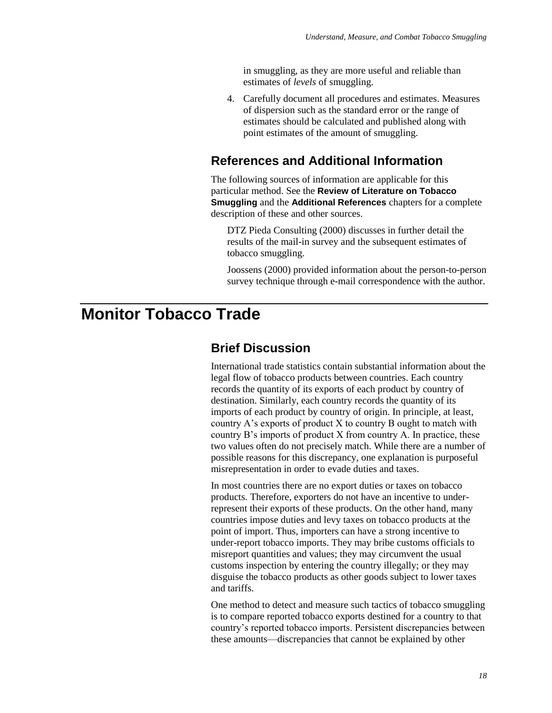in smuggling, as they are more useful and reliable than estimates of *levels* of smuggling.

4. Carefully document all procedures and estimates. Measures of dispersion such as the standard error or the range of estimates should be calculated and published along with point estimates of the amount of smuggling.

### **References and Additional Information**

The following sources of information are applicable for this particular method. See the **Review of Literature on Tobacco Smuggling** and the **Additional References** chapters for a complete description of these and other sources.

DTZ Pieda Consulting (2000) discusses in further detail the results of the mail-in survey and the subsequent estimates of tobacco smuggling.

Joossens (2000) provided information about the person-to-person survey technique through e-mail correspondence with the author.

# **Monitor Tobacco Trade**

### **Brief Discussion**

International trade statistics contain substantial information about the legal flow of tobacco products between countries. Each country records the quantity of its exports of each product by country of destination. Similarly, each country records the quantity of its imports of each product by country of origin. In principle, at least, country A's exports of product X to country B ought to match with country B's imports of product X from country A. In practice, these two values often do not precisely match. While there are a number of possible reasons for this discrepancy, one explanation is purposeful misrepresentation in order to evade duties and taxes.

In most countries there are no export duties or taxes on tobacco products. Therefore, exporters do not have an incentive to underrepresent their exports of these products. On the other hand, many countries impose duties and levy taxes on tobacco products at the point of import. Thus, importers can have a strong incentive to under-report tobacco imports. They may bribe customs officials to misreport quantities and values; they may circumvent the usual customs inspection by entering the country illegally; or they may disguise the tobacco products as other goods subject to lower taxes and tariffs.

One method to detect and measure such tactics of tobacco smuggling is to compare reported tobacco exports destined for a country to that country's reported tobacco imports. Persistent discrepancies between these amounts—discrepancies that cannot be explained by other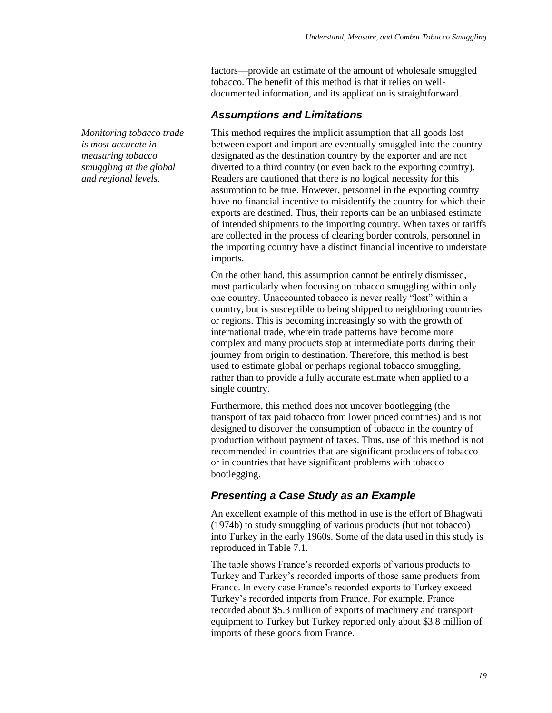factors—provide an estimate of the amount of wholesale smuggled tobacco. The benefit of this method is that it relies on welldocumented information, and its application is straightforward.

#### *Assumptions and Limitations*

This method requires the implicit assumption that all goods lost between export and import are eventually smuggled into the country designated as the destination country by the exporter and are not diverted to a third country (or even back to the exporting country). Readers are cautioned that there is no logical necessity for this assumption to be true. However, personnel in the exporting country have no financial incentive to misidentify the country for which their exports are destined. Thus, their reports can be an unbiased estimate of intended shipments to the importing country. When taxes or tariffs are collected in the process of clearing border controls, personnel in the importing country have a distinct financial incentive to understate imports.

On the other hand, this assumption cannot be entirely dismissed, most particularly when focusing on tobacco smuggling within only one country. Unaccounted tobacco is never really "lost" within a country, but is susceptible to being shipped to neighboring countries or regions. This is becoming increasingly so with the growth of international trade, wherein trade patterns have become more complex and many products stop at intermediate ports during their journey from origin to destination. Therefore, this method is best used to estimate global or perhaps regional tobacco smuggling, rather than to provide a fully accurate estimate when applied to a single country.

Furthermore, this method does not uncover bootlegging (the transport of tax paid tobacco from lower priced countries) and is not designed to discover the consumption of tobacco in the country of production without payment of taxes. Thus, use of this method is not recommended in countries that are significant producers of tobacco or in countries that have significant problems with tobacco bootlegging.

### *Presenting a Case Study as an Example*

An excellent example of this method in use is the effort of Bhagwati (1974b) to study smuggling of various products (but not tobacco) into Turkey in the early 1960s. Some of the data used in this study is reproduced in Table 7.1.

The table shows France's recorded exports of various products to Turkey and Turkey's recorded imports of those same products from France. In every case France's recorded exports to Turkey exceed Turkey's recorded imports from France. For example, France recorded about \$5.3 million of exports of machinery and transport equipment to Turkey but Turkey reported only about \$3.8 million of imports of these goods from France.

*Monitoring tobacco trade is most accurate in measuring tobacco smuggling at the global and regional levels.*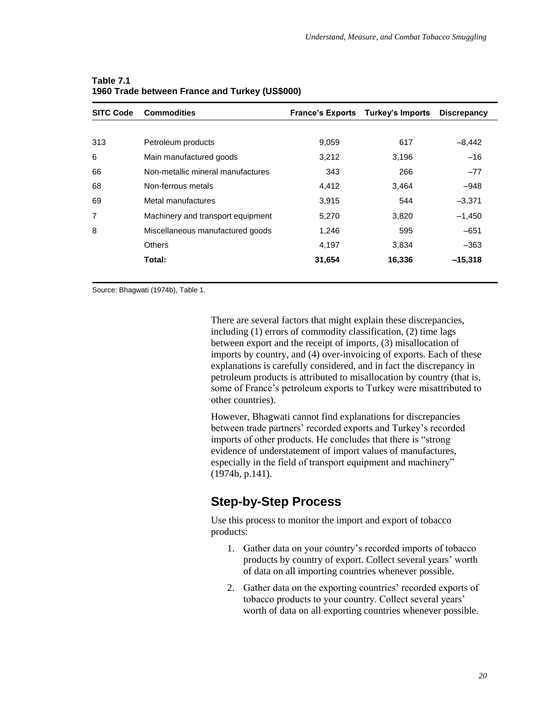| <b>SITC Code</b> | <b>Commodities</b>                |        | <b>France's Exports Turkey's Imports</b> | <b>Discrepancy</b> |
|------------------|-----------------------------------|--------|------------------------------------------|--------------------|
|                  |                                   |        |                                          |                    |
| 313              | Petroleum products                | 9,059  | 617                                      | $-8,442$           |
| 6                | Main manufactured goods           | 3,212  | 3,196                                    | $-16$              |
| 66               | Non-metallic mineral manufactures | 343    | 266                                      | $-77$              |
| 68               | Non-ferrous metals                | 4,412  | 3,464                                    | $-948$             |
| 69               | Metal manufactures                | 3,915  | 544                                      | $-3,371$           |
| $\overline{7}$   | Machinery and transport equipment | 5,270  | 3,820                                    | $-1,450$           |
| 8                | Miscellaneous manufactured goods  | 1,246  | 595                                      | $-651$             |
|                  | <b>Others</b>                     | 4,197  | 3,834                                    | $-363$             |
|                  | Total:                            | 31,654 | 16,336                                   | $-15,318$          |

#### **Table 7.1 1960 Trade between France and Turkey (US\$000)**

Source: Bhagwati (1974b), Table 1.

There are several factors that might explain these discrepancies, including (1) errors of commodity classification, (2) time lags between export and the receipt of imports, (3) misallocation of imports by country, and (4) over-invoicing of exports. Each of these explanations is carefully considered, and in fact the discrepancy in petroleum products is attributed to misallocation by country (that is, some of France's petroleum exports to Turkey were misattributed to other countries).

However, Bhagwati cannot find explanations for discrepancies between trade partners' recorded exports and Turkey's recorded imports of other products. He concludes that there is "strong" evidence of understatement of import values of manufactures, especially in the field of transport equipment and machinery" (1974b, p.141).

# **Step-by-Step Process**

Use this process to monitor the import and export of tobacco products:

- 1. Gather data on your country's recorded imports of tobacco products by country of export. Collect several years' worth of data on all importing countries whenever possible.
- 2. Gather data on the exporting countries' recorded exports of tobacco products to your country. Collect several years' worth of data on all exporting countries whenever possible.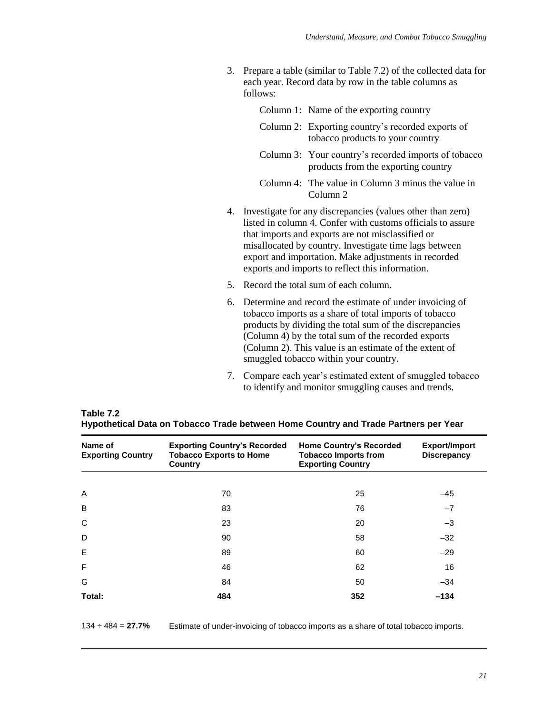3. Prepare a table (similar to Table 7.2) of the collected data for each year. Record data by row in the table columns as follows:

Column 1: Name of the exporting country

- Column 2: Exporting country's recorded exports of tobacco products to your country
- Column 3: Your country's recorded imports of tobacco products from the exporting country
- Column 4: The value in Column 3 minus the value in Column 2
- 4. Investigate for any discrepancies (values other than zero) listed in column 4. Confer with customs officials to assure that imports and exports are not misclassified or misallocated by country. Investigate time lags between export and importation. Make adjustments in recorded exports and imports to reflect this information.
- 5. Record the total sum of each column.
- 6. Determine and record the estimate of under invoicing of tobacco imports as a share of total imports of tobacco products by dividing the total sum of the discrepancies (Column 4) by the total sum of the recorded exports (Column 2). This value is an estimate of the extent of smuggled tobacco within your country.
- 7. Compare each year's estimated extent of smuggled tobacco to identify and monitor smuggling causes and trends.

| Name of<br><b>Exporting Country</b> | <b>Exporting Country's Recorded</b><br><b>Home Country's Recorded</b><br><b>Tobacco Exports to Home</b><br><b>Tobacco Imports from</b><br><b>Exporting Country</b><br>Country |     | <b>Export/Import</b><br><b>Discrepancy</b> |
|-------------------------------------|-------------------------------------------------------------------------------------------------------------------------------------------------------------------------------|-----|--------------------------------------------|
|                                     |                                                                                                                                                                               |     |                                            |
| A                                   | 70                                                                                                                                                                            | 25  | $-45$                                      |
| B                                   | 83                                                                                                                                                                            | 76  | $-7$                                       |
| C                                   | 23                                                                                                                                                                            | 20  | $-3$                                       |
| D                                   | 90                                                                                                                                                                            | 58  | $-32$                                      |
| E                                   | 89                                                                                                                                                                            | 60  | $-29$                                      |
| F                                   | 46                                                                                                                                                                            | 62  | 16                                         |
| G                                   | 84                                                                                                                                                                            | 50  | $-34$                                      |
| Total:                              | 484                                                                                                                                                                           | 352 | $-134$                                     |

| Table 7.2 |                                                                                     |  |
|-----------|-------------------------------------------------------------------------------------|--|
|           | Hypothetical Data on Tobacco Trade between Home Country and Trade Partners per Year |  |

134 ÷ 484 = **27.7%** Estimate of under-invoicing of tobacco imports as a share of total tobacco imports.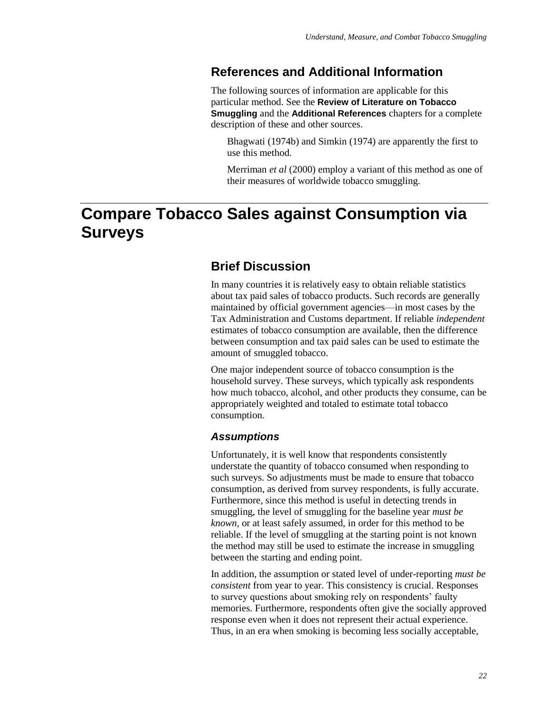## **References and Additional Information**

The following sources of information are applicable for this particular method. See the **Review of Literature on Tobacco Smuggling** and the **Additional References** chapters for a complete description of these and other sources.

Bhagwati (1974b) and Simkin (1974) are apparently the first to use this method.

Merriman *et al* (2000) employ a variant of this method as one of their measures of worldwide tobacco smuggling.

# **Compare Tobacco Sales against Consumption via Surveys**

# **Brief Discussion**

In many countries it is relatively easy to obtain reliable statistics about tax paid sales of tobacco products. Such records are generally maintained by official government agencies—in most cases by the Tax Administration and Customs department. If reliable *independent* estimates of tobacco consumption are available, then the difference between consumption and tax paid sales can be used to estimate the amount of smuggled tobacco.

One major independent source of tobacco consumption is the household survey. These surveys, which typically ask respondents how much tobacco, alcohol, and other products they consume, can be appropriately weighted and totaled to estimate total tobacco consumption.

#### *Assumptions*

Unfortunately, it is well know that respondents consistently understate the quantity of tobacco consumed when responding to such surveys. So adjustments must be made to ensure that tobacco consumption, as derived from survey respondents, is fully accurate. Furthermore, since this method is useful in detecting trends in smuggling, the level of smuggling for the baseline year *must be known,* or at least safely assumed, in order for this method to be reliable. If the level of smuggling at the starting point is not known the method may still be used to estimate the increase in smuggling between the starting and ending point.

In addition, the assumption or stated level of under-reporting *must be consistent* from year to year. This consistency is crucial. Responses to survey questions about smoking rely on respondents' faulty memories. Furthermore, respondents often give the socially approved response even when it does not represent their actual experience. Thus, in an era when smoking is becoming less socially acceptable,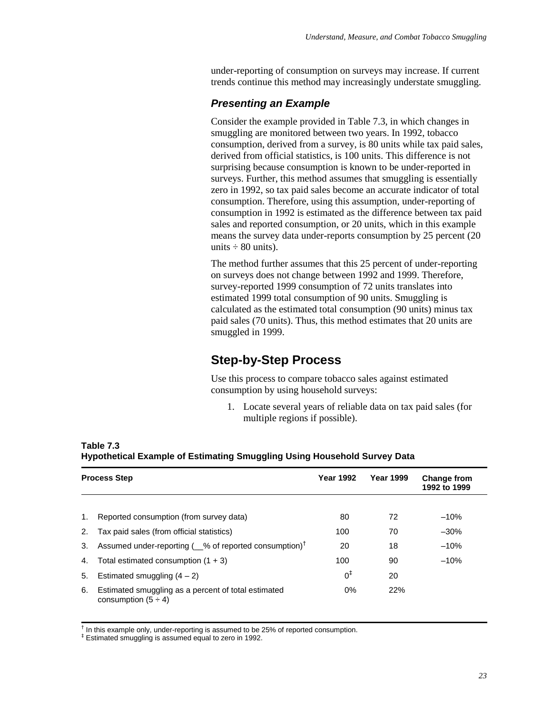under-reporting of consumption on surveys may increase. If current trends continue this method may increasingly understate smuggling.

### *Presenting an Example*

Consider the example provided in Table 7.3, in which changes in smuggling are monitored between two years. In 1992, tobacco consumption, derived from a survey, is 80 units while tax paid sales, derived from official statistics, is 100 units. This difference is not surprising because consumption is known to be under-reported in surveys. Further, this method assumes that smuggling is essentially zero in 1992, so tax paid sales become an accurate indicator of total consumption. Therefore, using this assumption, under-reporting of consumption in 1992 is estimated as the difference between tax paid sales and reported consumption, or 20 units, which in this example means the survey data under-reports consumption by 25 percent (20 units  $\div$  80 units).

The method further assumes that this 25 percent of under-reporting on surveys does not change between 1992 and 1999. Therefore, survey-reported 1999 consumption of 72 units translates into estimated 1999 total consumption of 90 units. Smuggling is calculated as the estimated total consumption (90 units) minus tax paid sales (70 units). Thus, this method estimates that 20 units are smuggled in 1999.

# **Step-by-Step Process**

Use this process to compare tobacco sales against estimated consumption by using household surveys:

1. Locate several years of reliable data on tax paid sales (for multiple regions if possible).

|    | <b>Process Step</b>                                                             | <b>Year 1992</b> | <b>Year 1999</b> | <b>Change from</b><br>1992 to 1999 |
|----|---------------------------------------------------------------------------------|------------------|------------------|------------------------------------|
|    |                                                                                 |                  |                  |                                    |
| 1. | Reported consumption (from survey data)                                         | 80               | 72               | $-10%$                             |
| 2. | Tax paid sales (from official statistics)                                       | 100              | 70               | $-30\%$                            |
| 3. | Assumed under-reporting ( 62% of reported consumption) <sup>†</sup>             | 20               | 18               | $-10%$                             |
| 4. | Total estimated consumption $(1 + 3)$                                           | 100              | 90               | $-10%$                             |
| 5. | Estimated smuggling $(4 - 2)$                                                   | $0^{\ddagger}$   | 20               |                                    |
| 6. | Estimated smuggling as a percent of total estimated<br>consumption $(5 \div 4)$ | $0\%$            | 22%              |                                    |

**Table 7.3 Hypothetical Example of Estimating Smuggling Using Household Survey Data**

<sup>†</sup> In this example only, under-reporting is assumed to be 25% of reported consumption.

‡ Estimated smuggling is assumed equal to zero in 1992.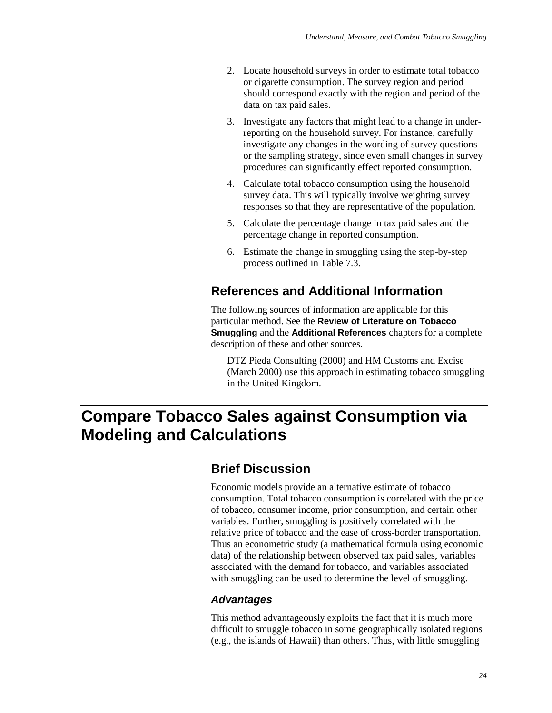- 2. Locate household surveys in order to estimate total tobacco or cigarette consumption. The survey region and period should correspond exactly with the region and period of the data on tax paid sales.
- 3. Investigate any factors that might lead to a change in underreporting on the household survey. For instance, carefully investigate any changes in the wording of survey questions or the sampling strategy, since even small changes in survey procedures can significantly effect reported consumption.
- 4. Calculate total tobacco consumption using the household survey data. This will typically involve weighting survey responses so that they are representative of the population.
- 5. Calculate the percentage change in tax paid sales and the percentage change in reported consumption.
- 6. Estimate the change in smuggling using the step-by-step process outlined in Table 7.3.

## **References and Additional Information**

The following sources of information are applicable for this particular method. See the **Review of Literature on Tobacco Smuggling** and the **Additional References** chapters for a complete description of these and other sources.

DTZ Pieda Consulting (2000) and HM Customs and Excise (March 2000) use this approach in estimating tobacco smuggling in the United Kingdom.

# **Compare Tobacco Sales against Consumption via Modeling and Calculations**

### **Brief Discussion**

Economic models provide an alternative estimate of tobacco consumption. Total tobacco consumption is correlated with the price of tobacco, consumer income, prior consumption, and certain other variables. Further, smuggling is positively correlated with the relative price of tobacco and the ease of cross-border transportation. Thus an econometric study (a mathematical formula using economic data) of the relationship between observed tax paid sales, variables associated with the demand for tobacco, and variables associated with smuggling can be used to determine the level of smuggling.

#### *Advantages*

This method advantageously exploits the fact that it is much more difficult to smuggle tobacco in some geographically isolated regions (e.g., the islands of Hawaii) than others. Thus, with little smuggling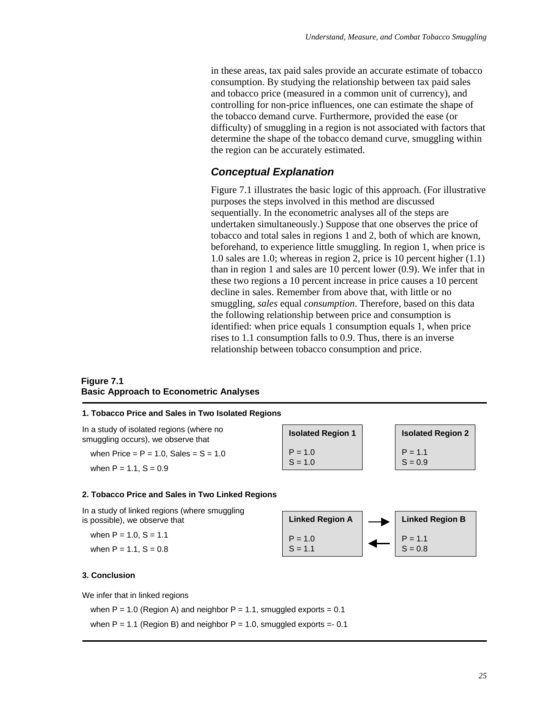in these areas, tax paid sales provide an accurate estimate of tobacco consumption. By studying the relationship between tax paid sales and tobacco price (measured in a common unit of currency), and controlling for non-price influences, one can estimate the shape of the tobacco demand curve. Furthermore, provided the ease (or difficulty) of smuggling in a region is not associated with factors that determine the shape of the tobacco demand curve, smuggling within the region can be accurately estimated.

#### *Conceptual Explanation*

Figure 7.1 illustrates the basic logic of this approach. (For illustrative purposes the steps involved in this method are discussed sequentially. In the econometric analyses all of the steps are undertaken simultaneously.) Suppose that one observes the price of tobacco and total sales in regions 1 and 2, both of which are known, beforehand, to experience little smuggling. In region 1, when price is 1.0 sales are 1.0; whereas in region 2, price is 10 percent higher (1.1) than in region 1 and sales are 10 percent lower (0.9). We infer that in these two regions a 10 percent increase in price causes a 10 percent decline in sales. Remember from above that, with little or no smuggling, *sales* equal *consumption*. Therefore, based on this data the following relationship between price and consumption is identified: when price equals 1 consumption equals 1, when price rises to 1.1 consumption falls to 0.9. Thus, there is an inverse relationship between tobacco consumption and price.

#### **Figure 7.1 Basic Approach to Econometric Analyses**

#### **1. Tobacco Price and Sales in Two Isolated Regions**

In a study of isolated regions (where no smuggling occurs), we observe that

when Price =  $P = 1.0$ , Sales =  $S = 1.0$ 

when  $P = 1.1$ ,  $S = 0.9$ 

**Isolated Region 1**  $P = 1.0$  $S = 1.0$ 

**Isolated Region 2**  $P = 1.1$  $S = 0.9$ 

#### **2. Tobacco Price and Sales in Two Linked Regions**

In a study of linked regions (where smuggling is possible), we observe that

when  $P = 1.0$ ,  $S = 1.1$ when  $P = 1.1$ ,  $S = 0.8$ 

#### **Linked Region A**  $P = 1.0$  $S = 1.1$ **Linked Region B**  $P = 1.1$  $S = 0.8$

#### **3. Conclusion**

We infer that in linked regions

when  $P = 1.0$  (Region A) and neighbor  $P = 1.1$ , smuggled exports = 0.1

when  $P = 1.1$  (Region B) and neighbor  $P = 1.0$ , smuggled exports = -0.1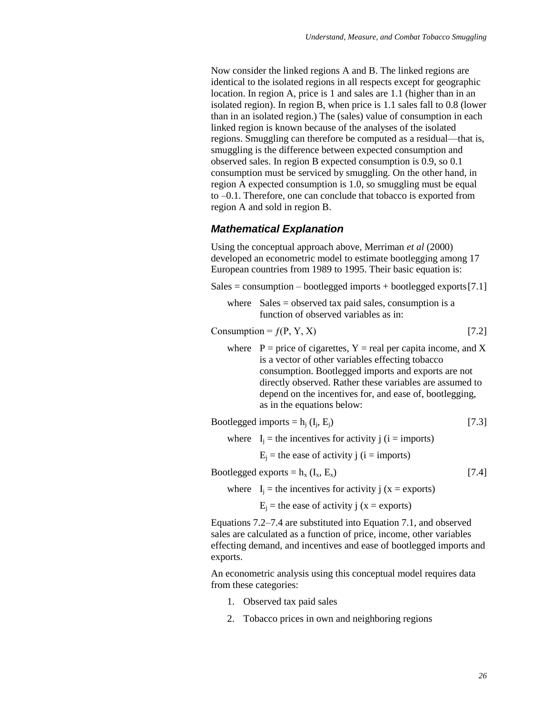Now consider the linked regions A and B. The linked regions are identical to the isolated regions in all respects except for geographic location. In region A, price is 1 and sales are 1.1 (higher than in an isolated region). In region B, when price is 1.1 sales fall to 0.8 (lower than in an isolated region.) The (sales) value of consumption in each linked region is known because of the analyses of the isolated regions. Smuggling can therefore be computed as a residual—that is, smuggling is the difference between expected consumption and observed sales. In region B expected consumption is 0.9, so 0.1 consumption must be serviced by smuggling. On the other hand, in region A expected consumption is 1.0, so smuggling must be equal to –0.1. Therefore, one can conclude that tobacco is exported from region A and sold in region B.

#### *Mathematical Explanation*

Using the conceptual approach above, Merriman *et al* (2000) developed an econometric model to estimate bootlegging among 17 European countries from 1989 to 1995. Their basic equation is:

 $Sales = consumption - bootlegged imports + bootlegged exports [7.1]$ 

where  $Sales = observed tax paid sales, consumption is a$ function of observed variables as in:

#### Consumption =  $f(P, Y, X)$  [7.2]

where  $P = price of eigenettes, Y = real per capita income, and X$ is a vector of other variables effecting tobacco consumption. Bootlegged imports and exports are not directly observed. Rather these variables are assumed to depend on the incentives for, and ease of, bootlegging, as in the equations below:

Bootlegged imports =  $h_i$  ( $I_i$ ,  $E_i$ )

where  $I_i$  = the incentives for activity j ( $i =$  imports)

 $E_i$  = the ease of activity j (i = imports)

Bootlegged exports =  $h_x$  ( $I_x$ ,  $E_x$ ) [7.4]

where  $I_i$  = the incentives for activity j (x = exports)

 $E_i$  = the ease of activity j (x = exports)

Equations 7.2–7.4 are substituted into Equation 7.1, and observed sales are calculated as a function of price, income, other variables effecting demand, and incentives and ease of bootlegged imports and exports.

An econometric analysis using this conceptual model requires data from these categories:

- 1. Observed tax paid sales
- 2. Tobacco prices in own and neighboring regions

 $[7.3]$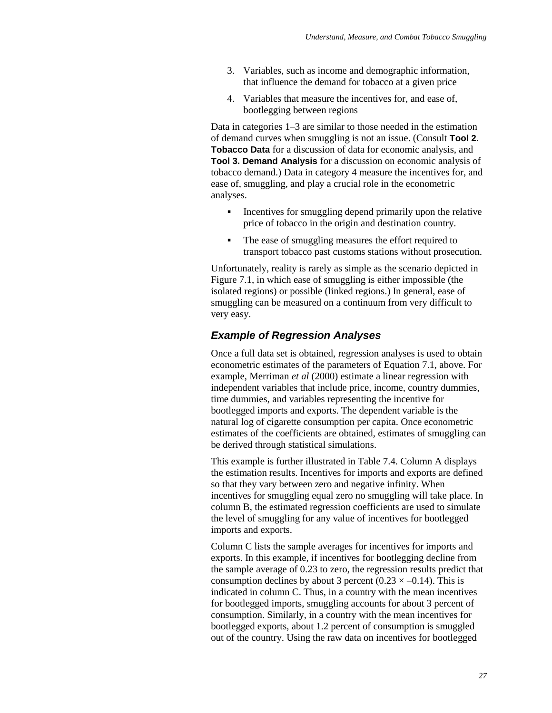- 3. Variables, such as income and demographic information, that influence the demand for tobacco at a given price
- 4. Variables that measure the incentives for, and ease of, bootlegging between regions

Data in categories 1–3 are similar to those needed in the estimation of demand curves when smuggling is not an issue. (Consult **Tool 2. Tobacco Data** for a discussion of data for economic analysis, and **Tool 3. Demand Analysis** for a discussion on economic analysis of tobacco demand.) Data in category 4 measure the incentives for, and ease of, smuggling, and play a crucial role in the econometric analyses.

- Incentives for smuggling depend primarily upon the relative price of tobacco in the origin and destination country.
- The ease of smuggling measures the effort required to transport tobacco past customs stations without prosecution.

Unfortunately, reality is rarely as simple as the scenario depicted in Figure 7.1, in which ease of smuggling is either impossible (the isolated regions) or possible (linked regions.) In general, ease of smuggling can be measured on a continuum from very difficult to very easy.

### *Example of Regression Analyses*

Once a full data set is obtained, regression analyses is used to obtain econometric estimates of the parameters of Equation 7.1, above. For example, Merriman *et al* (2000) estimate a linear regression with independent variables that include price, income, country dummies, time dummies, and variables representing the incentive for bootlegged imports and exports. The dependent variable is the natural log of cigarette consumption per capita. Once econometric estimates of the coefficients are obtained, estimates of smuggling can be derived through statistical simulations.

This example is further illustrated in Table 7.4. Column A displays the estimation results. Incentives for imports and exports are defined so that they vary between zero and negative infinity. When incentives for smuggling equal zero no smuggling will take place. In column B, the estimated regression coefficients are used to simulate the level of smuggling for any value of incentives for bootlegged imports and exports.

Column C lists the sample averages for incentives for imports and exports. In this example, if incentives for bootlegging decline from the sample average of 0.23 to zero, the regression results predict that consumption declines by about 3 percent (0.23  $\times$  –0.14). This is indicated in column C. Thus, in a country with the mean incentives for bootlegged imports, smuggling accounts for about 3 percent of consumption. Similarly, in a country with the mean incentives for bootlegged exports, about 1.2 percent of consumption is smuggled out of the country. Using the raw data on incentives for bootlegged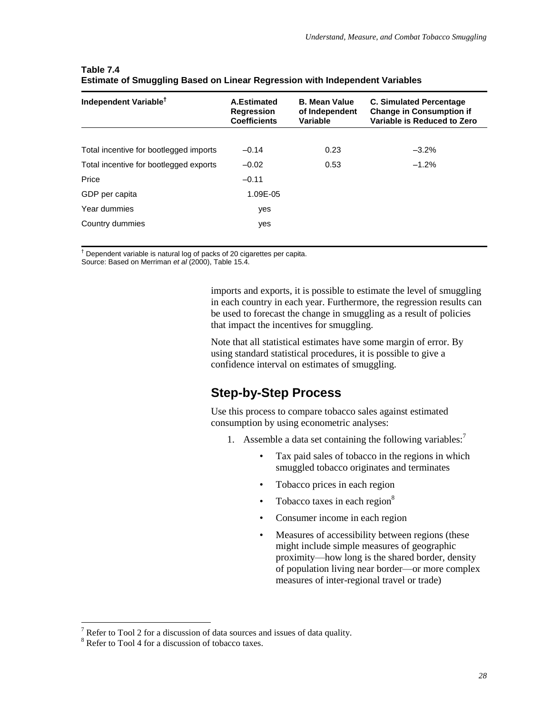| Independent Variable <sup>†</sup>      | A.Estimated<br><b>Regression</b><br><b>Coefficients</b> | <b>B. Mean Value</b><br>of Independent<br>Variable | <b>C. Simulated Percentage</b><br><b>Change in Consumption if</b><br>Variable is Reduced to Zero |
|----------------------------------------|---------------------------------------------------------|----------------------------------------------------|--------------------------------------------------------------------------------------------------|
|                                        |                                                         |                                                    |                                                                                                  |
| Total incentive for bootlegged imports | $-0.14$                                                 | 0.23                                               | $-3.2\%$                                                                                         |
| Total incentive for bootlegged exports | $-0.02$                                                 | 0.53                                               | $-1.2%$                                                                                          |
| Price                                  | $-0.11$                                                 |                                                    |                                                                                                  |
| GDP per capita                         | 1.09E-05                                                |                                                    |                                                                                                  |
| Year dummies                           | yes                                                     |                                                    |                                                                                                  |
| Country dummies                        | yes                                                     |                                                    |                                                                                                  |

#### **Table 7.4 Estimate of Smuggling Based on Linear Regression with Independent Variables**

† Dependent variable is natural log of packs of 20 cigarettes per capita.

Source: Based on Merriman *et al* (2000), Table 15.4.

imports and exports, it is possible to estimate the level of smuggling in each country in each year. Furthermore, the regression results can be used to forecast the change in smuggling as a result of policies that impact the incentives for smuggling.

Note that all statistical estimates have some margin of error. By using standard statistical procedures, it is possible to give a confidence interval on estimates of smuggling.

# **Step-by-Step Process**

Use this process to compare tobacco sales against estimated consumption by using econometric analyses:

- 1. Assemble a data set containing the following variables:<sup>7</sup>
	- Tax paid sales of tobacco in the regions in which smuggled tobacco originates and terminates
	- Tobacco prices in each region
	- Tobacco taxes in each region $8$
	- Consumer income in each region
	- Measures of accessibility between regions (these might include simple measures of geographic proximity—how long is the shared border, density of population living near border—or more complex measures of inter-regional travel or trade)

 $\overline{a}$ 

 $7$  Refer to Tool 2 for a discussion of data sources and issues of data quality.

<sup>&</sup>lt;sup>8</sup> Refer to Tool 4 for a discussion of tobacco taxes.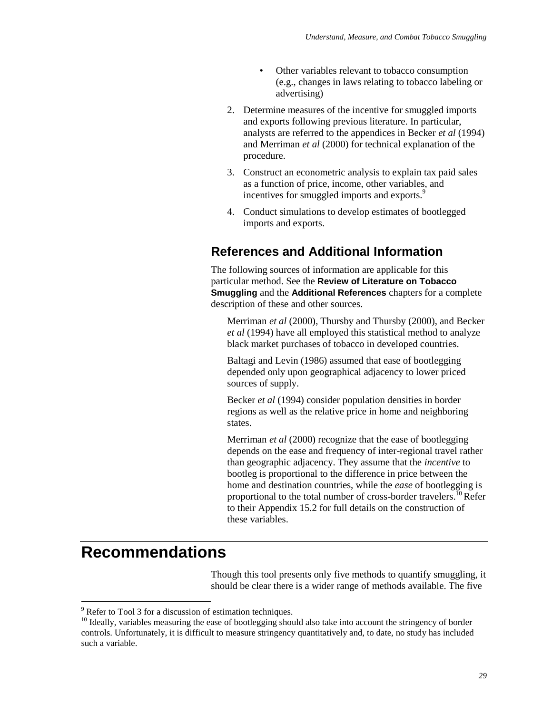- Other variables relevant to tobacco consumption (e.g., changes in laws relating to tobacco labeling or advertising)
- 2. Determine measures of the incentive for smuggled imports and exports following previous literature. In particular, analysts are referred to the appendices in Becker *et al* (1994) and Merriman *et al* (2000) for technical explanation of the procedure.
- 3. Construct an econometric analysis to explain tax paid sales as a function of price, income, other variables, and incentives for smuggled imports and exports.<sup>9</sup>
- 4. Conduct simulations to develop estimates of bootlegged imports and exports.

## **References and Additional Information**

The following sources of information are applicable for this particular method. See the **Review of Literature on Tobacco Smuggling** and the **Additional References** chapters for a complete description of these and other sources.

Merriman *et al* (2000), Thursby and Thursby (2000), and Becker *et al* (1994) have all employed this statistical method to analyze black market purchases of tobacco in developed countries.

Baltagi and Levin (1986) assumed that ease of bootlegging depended only upon geographical adjacency to lower priced sources of supply.

Becker *et al* (1994) consider population densities in border regions as well as the relative price in home and neighboring states.

Merriman *et al* (2000) recognize that the ease of bootlegging depends on the ease and frequency of inter-regional travel rather than geographic adjacency. They assume that the *incentive* to bootleg is proportional to the difference in price between the home and destination countries, while the *ease* of bootlegging is proportional to the total number of cross-border travelers.<sup>10</sup> Refer to their Appendix 15.2 for full details on the construction of these variables.

# **Recommendations**

 $\overline{a}$ 

Though this tool presents only five methods to quantify smuggling, it should be clear there is a wider range of methods available. The five

 $9^9$  Refer to Tool 3 for a discussion of estimation techniques.

<sup>&</sup>lt;sup>10</sup> Ideally, variables measuring the ease of bootlegging should also take into account the stringency of border controls. Unfortunately, it is difficult to measure stringency quantitatively and, to date, no study has included such a variable.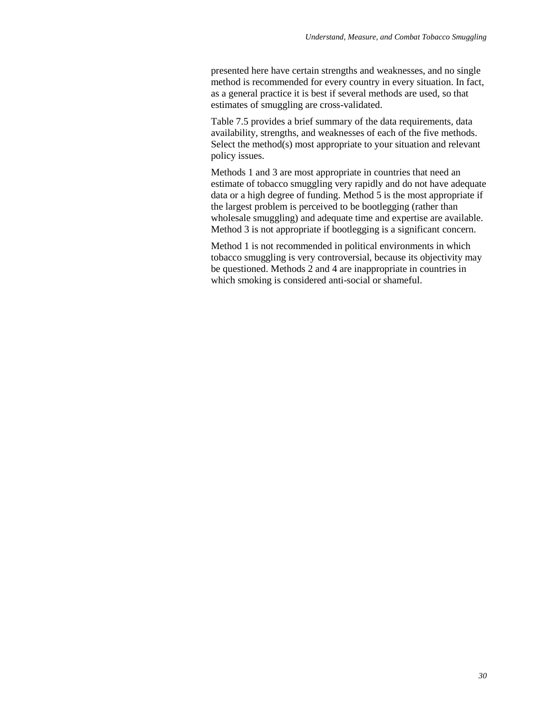presented here have certain strengths and weaknesses, and no single method is recommended for every country in every situation. In fact, as a general practice it is best if several methods are used, so that estimates of smuggling are cross-validated.

Table 7.5 provides a brief summary of the data requirements, data availability, strengths, and weaknesses of each of the five methods. Select the method(s) most appropriate to your situation and relevant policy issues.

Methods 1 and 3 are most appropriate in countries that need an estimate of tobacco smuggling very rapidly and do not have adequate data or a high degree of funding. Method 5 is the most appropriate if the largest problem is perceived to be bootlegging (rather than wholesale smuggling) and adequate time and expertise are available. Method 3 is not appropriate if bootlegging is a significant concern.

Method 1 is not recommended in political environments in which tobacco smuggling is very controversial, because its objectivity may be questioned. Methods 2 and 4 are inappropriate in countries in which smoking is considered anti-social or shameful.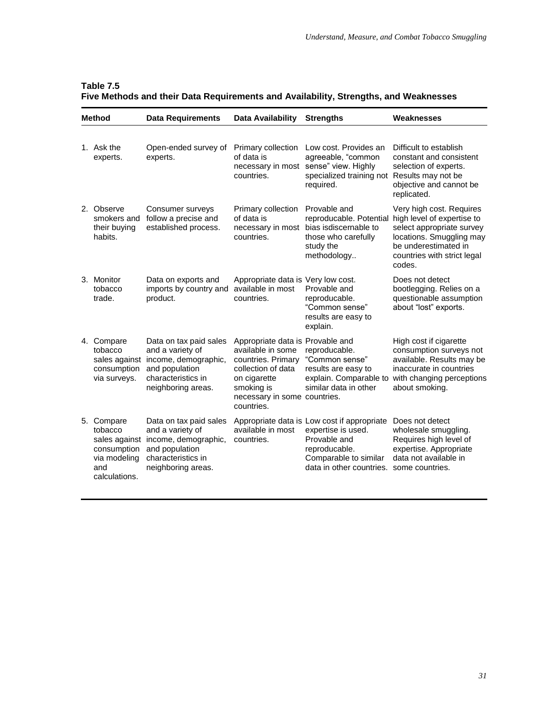|    | <b>Method</b>                                                                              | <b>Data Requirements</b>                                                                                                         | Data Availability                                                                                                                                                             | <b>Strengths</b>                                                                                                                                        | Weaknesses                                                                                                                                                                       |
|----|--------------------------------------------------------------------------------------------|----------------------------------------------------------------------------------------------------------------------------------|-------------------------------------------------------------------------------------------------------------------------------------------------------------------------------|---------------------------------------------------------------------------------------------------------------------------------------------------------|----------------------------------------------------------------------------------------------------------------------------------------------------------------------------------|
|    | 1. Ask the<br>experts.                                                                     | Open-ended survey of<br>experts.                                                                                                 | Primary collection<br>of data is<br>countries.                                                                                                                                | Low cost. Provides an<br>agreeable, "common<br>necessary in most sense" view. Highly<br>specialized training not Results may not be<br>required.        | Difficult to establish<br>constant and consistent<br>selection of experts.<br>objective and cannot be<br>replicated.                                                             |
|    | 2. Observe<br>smokers and<br>their buying<br>habits.                                       | Consumer surveys<br>follow a precise and<br>established process.                                                                 | Primary collection<br>of data is<br>necessary in most<br>countries.                                                                                                           | Provable and<br>reproducable. Potential<br>bias isdiscernable to<br>those who carefully<br>study the<br>methodology                                     | Very high cost. Requires<br>high level of expertise to<br>select appropriate survey<br>locations. Smuggling may<br>be underestimated in<br>countries with strict legal<br>codes. |
|    | 3. Monitor<br>tobacco<br>trade.                                                            | Data on exports and<br>imports by country and<br>product.                                                                        | Appropriate data is Very low cost.<br>available in most<br>countries.                                                                                                         | Provable and<br>reproducable.<br>"Common sense"<br>results are easy to<br>explain.                                                                      | Does not detect<br>bootlegging. Relies on a<br>questionable assumption<br>about "lost" exports.                                                                                  |
|    | 4. Compare<br>tobacco<br>sales against<br>consumption<br>via surveys.                      | Data on tax paid sales<br>and a variety of<br>income, demographic,<br>and population<br>characteristics in<br>neighboring areas. | Appropriate data is Provable and<br>available in some<br>countries. Primary<br>collection of data<br>on cigarette<br>smoking is<br>necessary in some countries.<br>countries. | reproducable.<br>"Common sense"<br>results are easy to<br>explain. Comparable to<br>similar data in other                                               | High cost if cigarette<br>consumption surveys not<br>available. Results may be<br>inaccurate in countries<br>with changing perceptions<br>about smoking.                         |
| 5. | Compare<br>tobacco<br>sales against<br>consumption<br>via modeling<br>and<br>calculations. | Data on tax paid sales<br>and a variety of<br>income, demographic,<br>and population<br>characteristics in<br>neighboring areas. | available in most<br>countries.                                                                                                                                               | Appropriate data is Low cost if appropriate<br>expertise is used.<br>Provable and<br>reproducable.<br>Comparable to similar<br>data in other countries. | Does not detect<br>wholesale smuggling.<br>Requires high level of<br>expertise. Appropriate<br>data not available in<br>some countries.                                          |

### **Table 7.5 Five Methods and their Data Requirements and Availability, Strengths, and Weaknesses**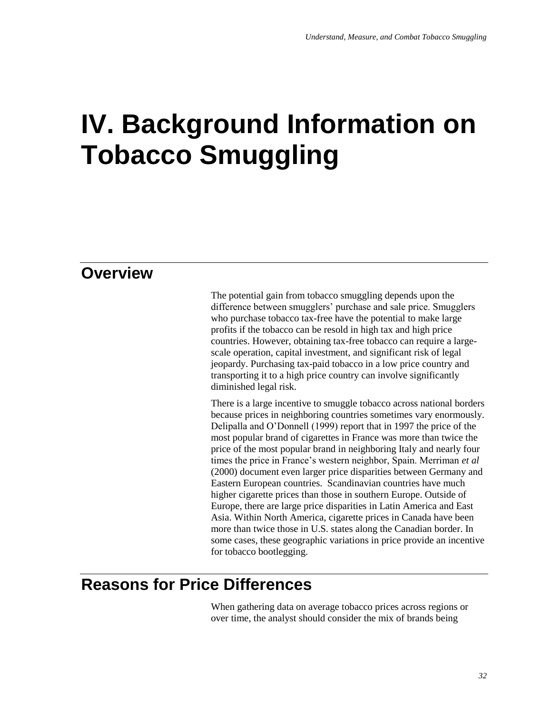# **IV. Background Information on Tobacco Smuggling**

# **Overview**

The potential gain from tobacco smuggling depends upon the difference between smugglers' purchase and sale price. Smugglers who purchase tobacco tax-free have the potential to make large profits if the tobacco can be resold in high tax and high price countries. However, obtaining tax-free tobacco can require a largescale operation, capital investment, and significant risk of legal jeopardy. Purchasing tax-paid tobacco in a low price country and transporting it to a high price country can involve significantly diminished legal risk.

There is a large incentive to smuggle tobacco across national borders because prices in neighboring countries sometimes vary enormously. Delipalla and O'Donnell (1999) report that in 1997 the price of the most popular brand of cigarettes in France was more than twice the price of the most popular brand in neighboring Italy and nearly four times the price in France's western neighbor, Spain. Merriman *et al* (2000) document even larger price disparities between Germany and Eastern European countries. Scandinavian countries have much higher cigarette prices than those in southern Europe. Outside of Europe, there are large price disparities in Latin America and East Asia. Within North America, cigarette prices in Canada have been more than twice those in U.S. states along the Canadian border. In some cases, these geographic variations in price provide an incentive for tobacco bootlegging.

# **Reasons for Price Differences**

When gathering data on average tobacco prices across regions or over time, the analyst should consider the mix of brands being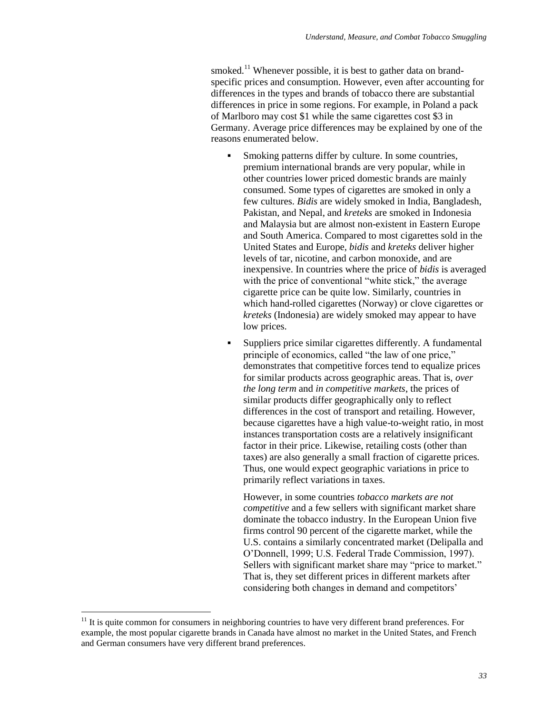smoked.<sup>11</sup> Whenever possible, it is best to gather data on brandspecific prices and consumption. However, even after accounting for differences in the types and brands of tobacco there are substantial differences in price in some regions. For example, in Poland a pack of Marlboro may cost \$1 while the same cigarettes cost \$3 in Germany. Average price differences may be explained by one of the reasons enumerated below.

- Smoking patterns differ by culture. In some countries, premium international brands are very popular, while in other countries lower priced domestic brands are mainly consumed. Some types of cigarettes are smoked in only a few cultures. *Bidis* are widely smoked in India, Bangladesh, Pakistan, and Nepal, and *kreteks* are smoked in Indonesia and Malaysia but are almost non-existent in Eastern Europe and South America. Compared to most cigarettes sold in the United States and Europe, *bidis* and *kreteks* deliver higher levels of tar, nicotine, and carbon monoxide, and are inexpensive. In countries where the price of *bidis* is averaged with the price of conventional "white stick," the average cigarette price can be quite low. Similarly, countries in which hand-rolled cigarettes (Norway) or clove cigarettes or *kreteks* (Indonesia) are widely smoked may appear to have low prices.
- Suppliers price similar cigarettes differently. A fundamental principle of economics, called "the law of one price," demonstrates that competitive forces tend to equalize prices for similar products across geographic areas. That is, *over the long term* and *in competitive markets*, the prices of similar products differ geographically only to reflect differences in the cost of transport and retailing. However, because cigarettes have a high value-to-weight ratio, in most instances transportation costs are a relatively insignificant factor in their price. Likewise, retailing costs (other than taxes) are also generally a small fraction of cigarette prices. Thus, one would expect geographic variations in price to primarily reflect variations in taxes.

However, in some countries *tobacco markets are not competitive* and a few sellers with significant market share dominate the tobacco industry. In the European Union five firms control 90 percent of the cigarette market, while the U.S. contains a similarly concentrated market (Delipalla and O'Donnell, 1999; U.S. Federal Trade Commission, 1997). Sellers with significant market share may "price to market." That is, they set different prices in different markets after considering both changes in demand and competitors'

 $\overline{a}$ 

 $11$  It is quite common for consumers in neighboring countries to have very different brand preferences. For example, the most popular cigarette brands in Canada have almost no market in the United States, and French and German consumers have very different brand preferences.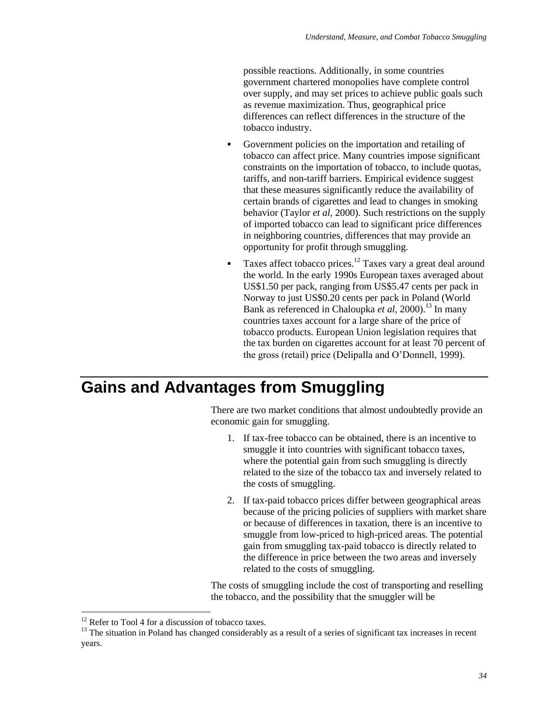possible reactions. Additionally, in some countries government chartered monopolies have complete control over supply, and may set prices to achieve public goals such as revenue maximization. Thus, geographical price differences can reflect differences in the structure of the tobacco industry.

- Government policies on the importation and retailing of tobacco can affect price. Many countries impose significant constraints on the importation of tobacco, to include quotas, tariffs, and non-tariff barriers. Empirical evidence suggest that these measures significantly reduce the availability of certain brands of cigarettes and lead to changes in smoking behavior (Taylor *et al,* 2000). Such restrictions on the supply of imported tobacco can lead to significant price differences in neighboring countries, differences that may provide an opportunity for profit through smuggling.
- Taxes affect tobacco prices.<sup>12</sup> Taxes vary a great deal around the world. In the early 1990s European taxes averaged about US\$1.50 per pack, ranging from US\$5.47 cents per pack in Norway to just US\$0.20 cents per pack in Poland (World Bank as referenced in Chaloupka *et al*, 2000).<sup>13</sup> In many countries taxes account for a large share of the price of tobacco products. European Union legislation requires that the tax burden on cigarettes account for at least 70 percent of the gross (retail) price (Delipalla and O'Donnell, 1999).

# **Gains and Advantages from Smuggling**

There are two market conditions that almost undoubtedly provide an economic gain for smuggling.

- 1. If tax-free tobacco can be obtained, there is an incentive to smuggle it into countries with significant tobacco taxes, where the potential gain from such smuggling is directly related to the size of the tobacco tax and inversely related to the costs of smuggling.
- 2. If tax-paid tobacco prices differ between geographical areas because of the pricing policies of suppliers with market share or because of differences in taxation, there is an incentive to smuggle from low-priced to high-priced areas. The potential gain from smuggling tax-paid tobacco is directly related to the difference in price between the two areas and inversely related to the costs of smuggling.

The costs of smuggling include the cost of transporting and reselling the tobacco, and the possibility that the smuggler will be

 $\overline{a}$ 

<sup>&</sup>lt;sup>12</sup> Refer to Tool 4 for a discussion of tobacco taxes.

 $13$  The situation in Poland has changed considerably as a result of a series of significant tax increases in recent years.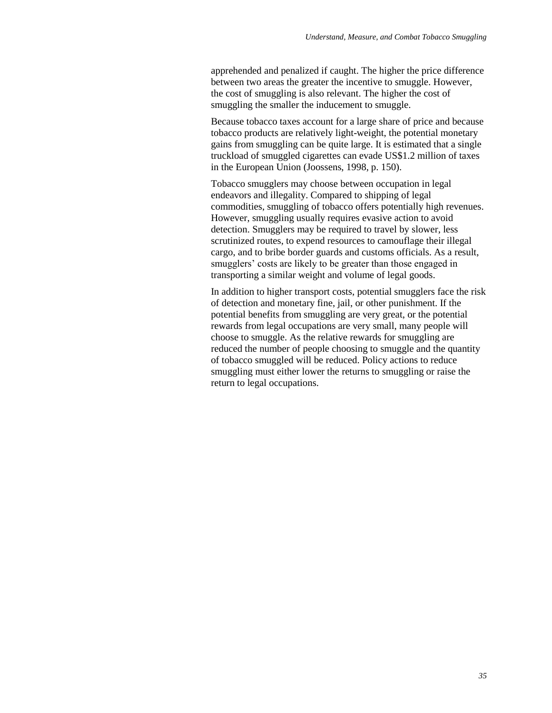apprehended and penalized if caught. The higher the price difference between two areas the greater the incentive to smuggle. However, the cost of smuggling is also relevant. The higher the cost of smuggling the smaller the inducement to smuggle.

Because tobacco taxes account for a large share of price and because tobacco products are relatively light-weight, the potential monetary gains from smuggling can be quite large. It is estimated that a single truckload of smuggled cigarettes can evade US\$1.2 million of taxes in the European Union (Joossens, 1998, p. 150).

Tobacco smugglers may choose between occupation in legal endeavors and illegality. Compared to shipping of legal commodities, smuggling of tobacco offers potentially high revenues. However, smuggling usually requires evasive action to avoid detection. Smugglers may be required to travel by slower, less scrutinized routes, to expend resources to camouflage their illegal cargo, and to bribe border guards and customs officials. As a result, smugglers' costs are likely to be greater than those engaged in transporting a similar weight and volume of legal goods.

In addition to higher transport costs, potential smugglers face the risk of detection and monetary fine, jail, or other punishment. If the potential benefits from smuggling are very great, or the potential rewards from legal occupations are very small, many people will choose to smuggle. As the relative rewards for smuggling are reduced the number of people choosing to smuggle and the quantity of tobacco smuggled will be reduced. Policy actions to reduce smuggling must either lower the returns to smuggling or raise the return to legal occupations.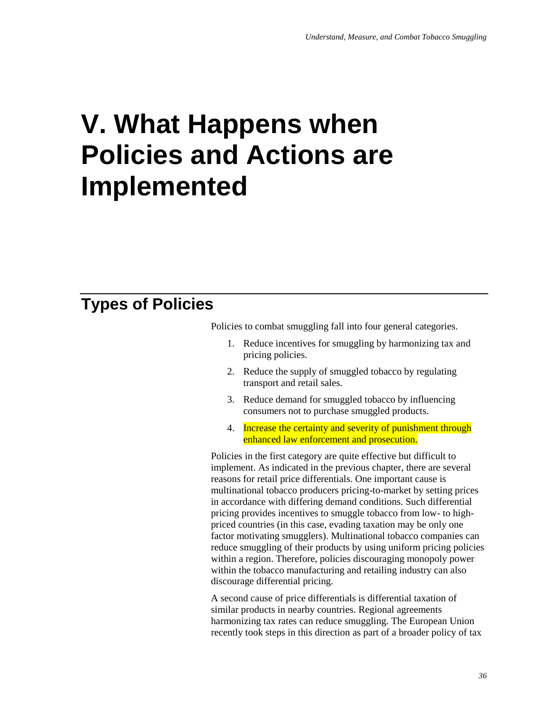# **V. What Happens when Policies and Actions are Implemented**

# **Types of Policies**

Policies to combat smuggling fall into four general categories.

- 1. Reduce incentives for smuggling by harmonizing tax and pricing policies.
- 2. Reduce the supply of smuggled tobacco by regulating transport and retail sales.
- 3. Reduce demand for smuggled tobacco by influencing consumers not to purchase smuggled products.
- 4. Increase the certainty and severity of punishment through enhanced law enforcement and prosecution.

Policies in the first category are quite effective but difficult to implement. As indicated in the previous chapter, there are several reasons for retail price differentials. One important cause is multinational tobacco producers pricing-to-market by setting prices in accordance with differing demand conditions. Such differential pricing provides incentives to smuggle tobacco from low- to highpriced countries (in this case, evading taxation may be only one factor motivating smugglers). Multinational tobacco companies can reduce smuggling of their products by using uniform pricing policies within a region. Therefore, policies discouraging monopoly power within the tobacco manufacturing and retailing industry can also discourage differential pricing.

A second cause of price differentials is differential taxation of similar products in nearby countries. Regional agreements harmonizing tax rates can reduce smuggling. The European Union recently took steps in this direction as part of a broader policy of tax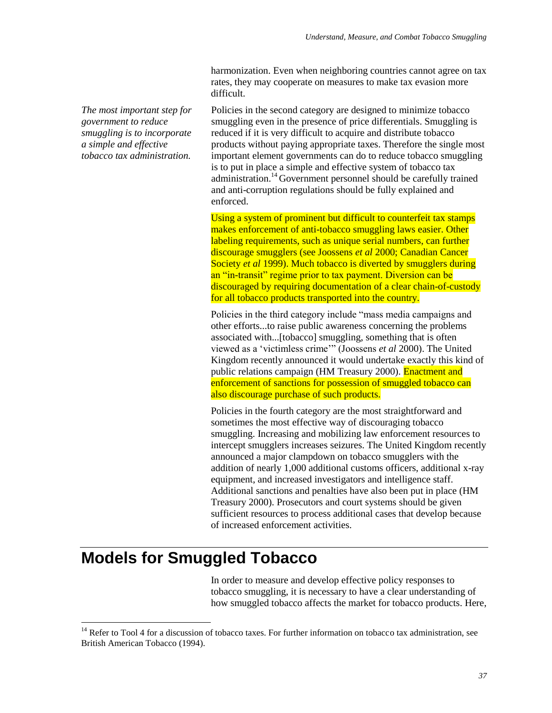harmonization. Even when neighboring countries cannot agree on tax rates, they may cooperate on measures to make tax evasion more difficult.

*The most important step for government to reduce smuggling is to incorporate a simple and effective tobacco tax administration.*

Policies in the second category are designed to minimize tobacco smuggling even in the presence of price differentials. Smuggling is reduced if it is very difficult to acquire and distribute tobacco products without paying appropriate taxes. Therefore the single most important element governments can do to reduce tobacco smuggling is to put in place a simple and effective system of tobacco tax administration.<sup>14</sup> Government personnel should be carefully trained and anti-corruption regulations should be fully explained and enforced.

Using a system of prominent but difficult to counterfeit tax stamps makes enforcement of anti-tobacco smuggling laws easier. Other labeling requirements, such as unique serial numbers, can further discourage smugglers (see Joossens *et al* 2000; Canadian Cancer Society *et al* 1999). Much tobacco is diverted by smugglers during an "in-transit" regime prior to tax payment. Diversion can be discouraged by requiring documentation of a clear chain-of-custody for all tobacco products transported into the country.

Policies in the third category include "mass media campaigns and other efforts...to raise public awareness concerning the problems associated with...[tobacco] smuggling, something that is often viewed as a 'victimless crime'" (Joossens *et al* 2000). The United Kingdom recently announced it would undertake exactly this kind of public relations campaign (HM Treasury 2000). Enactment and enforcement of sanctions for possession of smuggled tobacco can also discourage purchase of such products.

Policies in the fourth category are the most straightforward and sometimes the most effective way of discouraging tobacco smuggling. Increasing and mobilizing law enforcement resources to intercept smugglers increases seizures. The United Kingdom recently announced a major clampdown on tobacco smugglers with the addition of nearly 1,000 additional customs officers, additional x-ray equipment, and increased investigators and intelligence staff. Additional sanctions and penalties have also been put in place (HM Treasury 2000). Prosecutors and court systems should be given sufficient resources to process additional cases that develop because of increased enforcement activities.

# **Models for Smuggled Tobacco**

 $\overline{a}$ 

In order to measure and develop effective policy responses to tobacco smuggling, it is necessary to have a clear understanding of how smuggled tobacco affects the market for tobacco products. Here,

<sup>&</sup>lt;sup>14</sup> Refer to Tool 4 for a discussion of tobacco taxes. For further information on tobacco tax administration, see British American Tobacco (1994).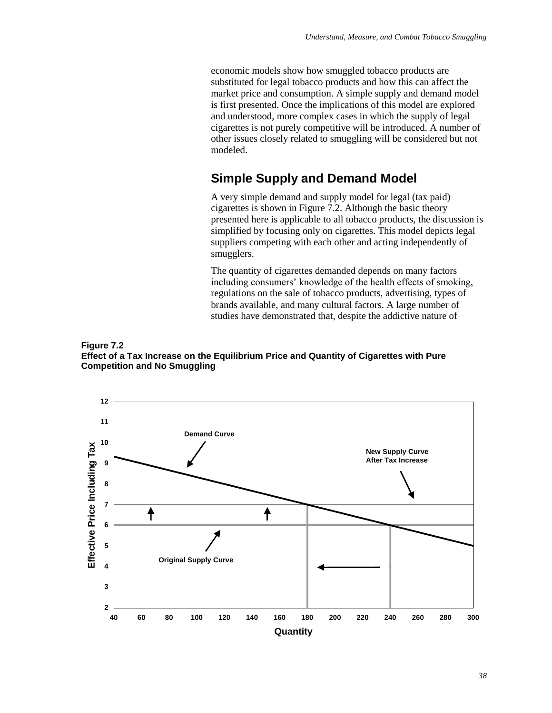economic models show how smuggled tobacco products are substituted for legal tobacco products and how this can affect the market price and consumption. A simple supply and demand model is first presented. Once the implications of this model are explored and understood, more complex cases in which the supply of legal cigarettes is not purely competitive will be introduced. A number of other issues closely related to smuggling will be considered but not modeled.

### **Simple Supply and Demand Model**

A very simple demand and supply model for legal (tax paid) cigarettes is shown in Figure 7.2. Although the basic theory presented here is applicable to all tobacco products, the discussion is simplified by focusing only on cigarettes. This model depicts legal suppliers competing with each other and acting independently of smugglers.

The quantity of cigarettes demanded depends on many factors including consumers' knowledge of the health effects of smoking, regulations on the sale of tobacco products, advertising, types of brands available, and many cultural factors. A large number of studies have demonstrated that, despite the addictive nature of



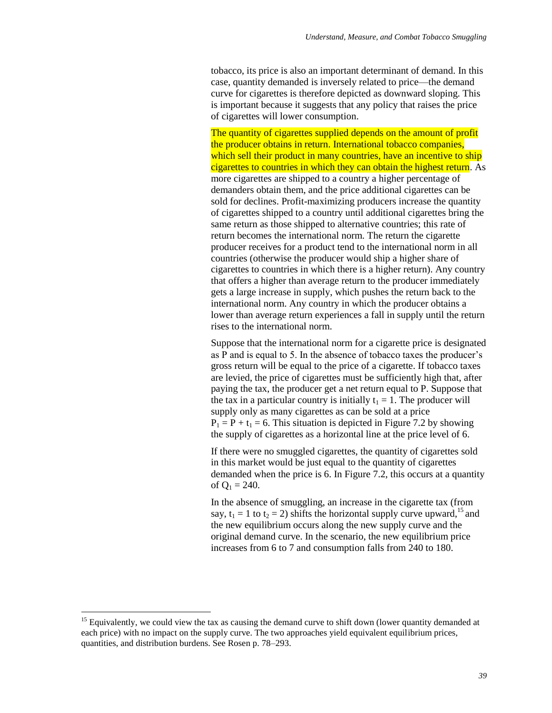tobacco, its price is also an important determinant of demand. In this case, quantity demanded is inversely related to price—the demand curve for cigarettes is therefore depicted as downward sloping. This is important because it suggests that any policy that raises the price of cigarettes will lower consumption.

The quantity of cigarettes supplied depends on the amount of profit the producer obtains in return. International tobacco companies, which sell their product in many countries, have an incentive to ship cigarettes to countries in which they can obtain the highest return. As more cigarettes are shipped to a country a higher percentage of demanders obtain them, and the price additional cigarettes can be sold for declines. Profit-maximizing producers increase the quantity of cigarettes shipped to a country until additional cigarettes bring the same return as those shipped to alternative countries; this rate of return becomes the international norm. The return the cigarette producer receives for a product tend to the international norm in all countries (otherwise the producer would ship a higher share of cigarettes to countries in which there is a higher return). Any country that offers a higher than average return to the producer immediately gets a large increase in supply, which pushes the return back to the international norm. Any country in which the producer obtains a lower than average return experiences a fall in supply until the return rises to the international norm.

Suppose that the international norm for a cigarette price is designated as P and is equal to 5. In the absence of tobacco taxes the producer's gross return will be equal to the price of a cigarette. If tobacco taxes are levied, the price of cigarettes must be sufficiently high that, after paying the tax, the producer get a net return equal to P. Suppose that the tax in a particular country is initially  $t_1 = 1$ . The producer will supply only as many cigarettes as can be sold at a price  $P_1 = P + t_1 = 6$ . This situation is depicted in Figure 7.2 by showing the supply of cigarettes as a horizontal line at the price level of 6.

If there were no smuggled cigarettes, the quantity of cigarettes sold in this market would be just equal to the quantity of cigarettes demanded when the price is 6. In Figure 7.2, this occurs at a quantity of  $Q_1 = 240$ .

In the absence of smuggling, an increase in the cigarette tax (from say,  $t_1 = 1$  to  $t_2 = 2$ ) shifts the horizontal supply curve upward,<sup>15</sup> and the new equilibrium occurs along the new supply curve and the original demand curve. In the scenario, the new equilibrium price increases from 6 to 7 and consumption falls from 240 to 180.

 $\overline{a}$ 

<sup>&</sup>lt;sup>15</sup> Equivalently, we could view the tax as causing the demand curve to shift down (lower quantity demanded at each price) with no impact on the supply curve. The two approaches yield equivalent equilibrium prices, quantities, and distribution burdens. See Rosen p. 78–293.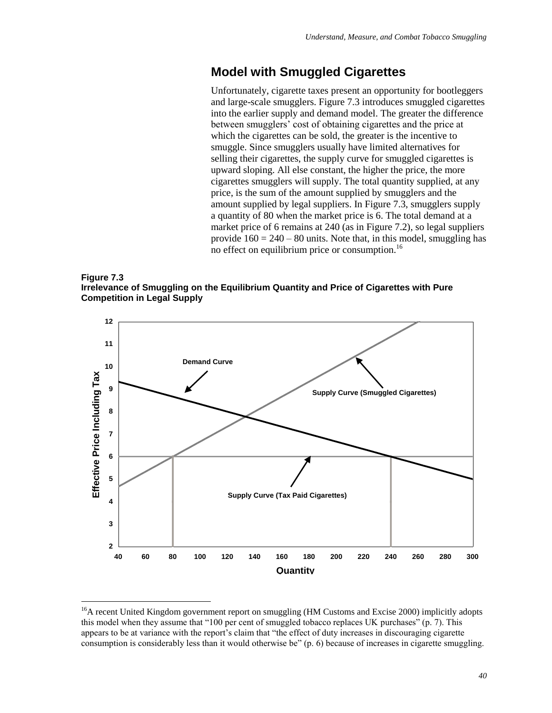## **Model with Smuggled Cigarettes**

Unfortunately, cigarette taxes present an opportunity for bootleggers and large-scale smugglers. Figure 7.3 introduces smuggled cigarettes into the earlier supply and demand model. The greater the difference between smugglers' cost of obtaining cigarettes and the price at which the cigarettes can be sold, the greater is the incentive to smuggle. Since smugglers usually have limited alternatives for selling their cigarettes, the supply curve for smuggled cigarettes is upward sloping. All else constant, the higher the price, the more cigarettes smugglers will supply. The total quantity supplied, at any price, is the sum of the amount supplied by smugglers and the amount supplied by legal suppliers. In Figure 7.3, smugglers supply a quantity of 80 when the market price is 6. The total demand at a market price of 6 remains at 240 (as in Figure 7.2), so legal suppliers provide  $160 = 240 - 80$  units. Note that, in this model, smuggling has no effect on equilibrium price or consumption.<sup>16</sup>





<sup>&</sup>lt;sup>16</sup>A recent United Kingdom government report on smuggling (HM Customs and Excise 2000) implicitly adopts this model when they assume that "100 per cent of smuggled tobacco replaces UK purchases" (p. 7). This appears to be at variance with the report's claim that "the effect of duty increases in discouraging cigarette consumption is considerably less than it would otherwise be" (p. 6) because of increases in cigarette smuggling.

 $\overline{a}$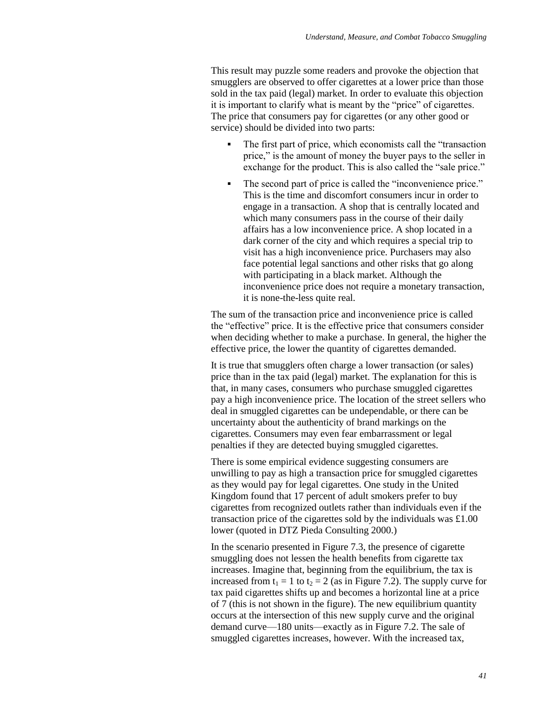This result may puzzle some readers and provoke the objection that smugglers are observed to offer cigarettes at a lower price than those sold in the tax paid (legal) market. In order to evaluate this objection it is important to clarify what is meant by the "price" of cigarettes. The price that consumers pay for cigarettes (or any other good or service) should be divided into two parts:

- The first part of price, which economists call the "transaction" price," is the amount of money the buyer pays to the seller in exchange for the product. This is also called the "sale price."
- The second part of price is called the "inconvenience price." This is the time and discomfort consumers incur in order to engage in a transaction. A shop that is centrally located and which many consumers pass in the course of their daily affairs has a low inconvenience price. A shop located in a dark corner of the city and which requires a special trip to visit has a high inconvenience price. Purchasers may also face potential legal sanctions and other risks that go along with participating in a black market. Although the inconvenience price does not require a monetary transaction, it is none-the-less quite real.

The sum of the transaction price and inconvenience price is called the "effective" price. It is the effective price that consumers consider when deciding whether to make a purchase. In general, the higher the effective price, the lower the quantity of cigarettes demanded.

It is true that smugglers often charge a lower transaction (or sales) price than in the tax paid (legal) market. The explanation for this is that, in many cases, consumers who purchase smuggled cigarettes pay a high inconvenience price. The location of the street sellers who deal in smuggled cigarettes can be undependable, or there can be uncertainty about the authenticity of brand markings on the cigarettes. Consumers may even fear embarrassment or legal penalties if they are detected buying smuggled cigarettes.

There is some empirical evidence suggesting consumers are unwilling to pay as high a transaction price for smuggled cigarettes as they would pay for legal cigarettes. One study in the United Kingdom found that 17 percent of adult smokers prefer to buy cigarettes from recognized outlets rather than individuals even if the transaction price of the cigarettes sold by the individuals was £1.00 lower (quoted in DTZ Pieda Consulting 2000.)

In the scenario presented in Figure 7.3, the presence of cigarette smuggling does not lessen the health benefits from cigarette tax increases. Imagine that, beginning from the equilibrium, the tax is increased from  $t_1 = 1$  to  $t_2 = 2$  (as in Figure 7.2). The supply curve for tax paid cigarettes shifts up and becomes a horizontal line at a price of 7 (this is not shown in the figure). The new equilibrium quantity occurs at the intersection of this new supply curve and the original demand curve—180 units—exactly as in Figure 7.2. The sale of smuggled cigarettes increases, however. With the increased tax,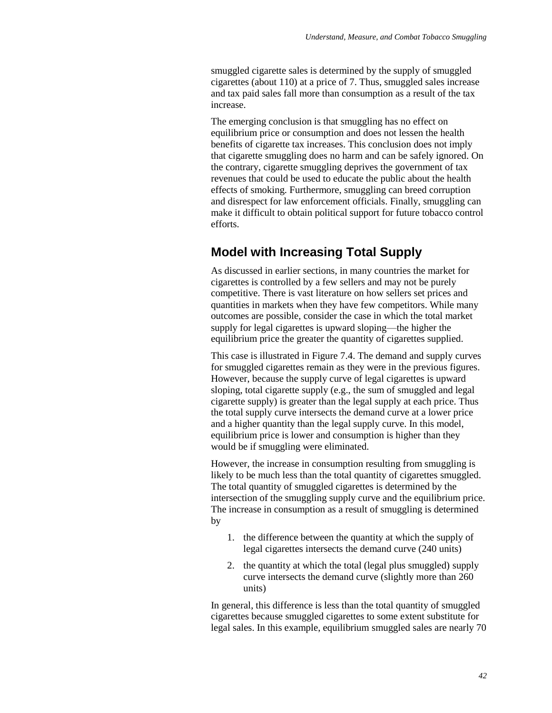smuggled cigarette sales is determined by the supply of smuggled cigarettes (about 110) at a price of 7. Thus, smuggled sales increase and tax paid sales fall more than consumption as a result of the tax increase.

The emerging conclusion is that smuggling has no effect on equilibrium price or consumption and does not lessen the health benefits of cigarette tax increases. This conclusion does not imply that cigarette smuggling does no harm and can be safely ignored. On the contrary, cigarette smuggling deprives the government of tax revenues that could be used to educate the public about the health effects of smoking. Furthermore, smuggling can breed corruption and disrespect for law enforcement officials. Finally, smuggling can make it difficult to obtain political support for future tobacco control efforts.

## **Model with Increasing Total Supply**

As discussed in earlier sections, in many countries the market for cigarettes is controlled by a few sellers and may not be purely competitive. There is vast literature on how sellers set prices and quantities in markets when they have few competitors. While many outcomes are possible, consider the case in which the total market supply for legal cigarettes is upward sloping—the higher the equilibrium price the greater the quantity of cigarettes supplied.

This case is illustrated in Figure 7.4. The demand and supply curves for smuggled cigarettes remain as they were in the previous figures. However, because the supply curve of legal cigarettes is upward sloping, total cigarette supply (e.g., the sum of smuggled and legal cigarette supply) is greater than the legal supply at each price. Thus the total supply curve intersects the demand curve at a lower price and a higher quantity than the legal supply curve. In this model, equilibrium price is lower and consumption is higher than they would be if smuggling were eliminated.

However, the increase in consumption resulting from smuggling is likely to be much less than the total quantity of cigarettes smuggled. The total quantity of smuggled cigarettes is determined by the intersection of the smuggling supply curve and the equilibrium price. The increase in consumption as a result of smuggling is determined by

- 1. the difference between the quantity at which the supply of legal cigarettes intersects the demand curve (240 units)
- 2. the quantity at which the total (legal plus smuggled) supply curve intersects the demand curve (slightly more than 260 units)

In general, this difference is less than the total quantity of smuggled cigarettes because smuggled cigarettes to some extent substitute for legal sales. In this example, equilibrium smuggled sales are nearly 70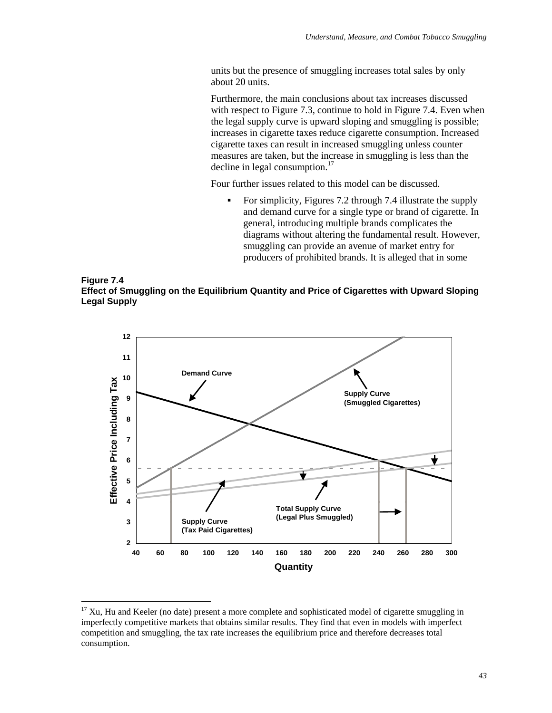units but the presence of smuggling increases total sales by only about 20 units.

Furthermore, the main conclusions about tax increases discussed with respect to Figure 7.3, continue to hold in Figure 7.4. Even when the legal supply curve is upward sloping and smuggling is possible; increases in cigarette taxes reduce cigarette consumption. Increased cigarette taxes can result in increased smuggling unless counter measures are taken, but the increase in smuggling is less than the decline in legal consumption. $^{17}$ 

Four further issues related to this model can be discussed.

 For simplicity, Figures 7.2 through 7.4 illustrate the supply and demand curve for a single type or brand of cigarette. In general, introducing multiple brands complicates the diagrams without altering the fundamental result. However, smuggling can provide an avenue of market entry for producers of prohibited brands. It is alleged that in some





 $17$  Xu, Hu and Keeler (no date) present a more complete and sophisticated model of cigarette smuggling in imperfectly competitive markets that obtains similar results. They find that even in models with imperfect competition and smuggling, the tax rate increases the equilibrium price and therefore decreases total consumption.

 $\overline{a}$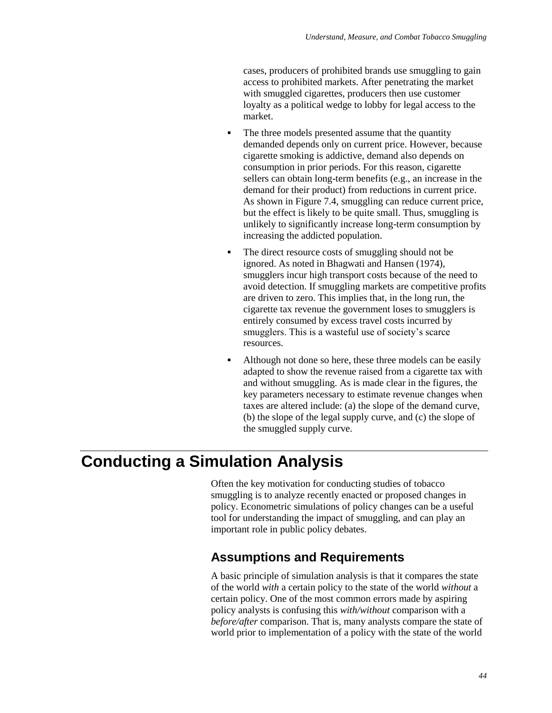cases, producers of prohibited brands use smuggling to gain access to prohibited markets. After penetrating the market with smuggled cigarettes, producers then use customer loyalty as a political wedge to lobby for legal access to the market.

- The three models presented assume that the quantity demanded depends only on current price. However, because cigarette smoking is addictive, demand also depends on consumption in prior periods. For this reason, cigarette sellers can obtain long-term benefits (e.g., an increase in the demand for their product) from reductions in current price. As shown in Figure 7.4, smuggling can reduce current price, but the effect is likely to be quite small. Thus, smuggling is unlikely to significantly increase long-term consumption by increasing the addicted population.
- The direct resource costs of smuggling should not be ignored. As noted in Bhagwati and Hansen (1974), smugglers incur high transport costs because of the need to avoid detection. If smuggling markets are competitive profits are driven to zero. This implies that, in the long run, the cigarette tax revenue the government loses to smugglers is entirely consumed by excess travel costs incurred by smugglers. This is a wasteful use of society's scarce resources.
- Although not done so here, these three models can be easily adapted to show the revenue raised from a cigarette tax with and without smuggling. As is made clear in the figures, the key parameters necessary to estimate revenue changes when taxes are altered include: (a) the slope of the demand curve, (b) the slope of the legal supply curve, and (c) the slope of the smuggled supply curve.

# **Conducting a Simulation Analysis**

Often the key motivation for conducting studies of tobacco smuggling is to analyze recently enacted or proposed changes in policy. Econometric simulations of policy changes can be a useful tool for understanding the impact of smuggling, and can play an important role in public policy debates.

# **Assumptions and Requirements**

A basic principle of simulation analysis is that it compares the state of the world *with* a certain policy to the state of the world *without* a certain policy. One of the most common errors made by aspiring policy analysts is confusing this *with/without* comparison with a *before/after* comparison. That is, many analysts compare the state of world prior to implementation of a policy with the state of the world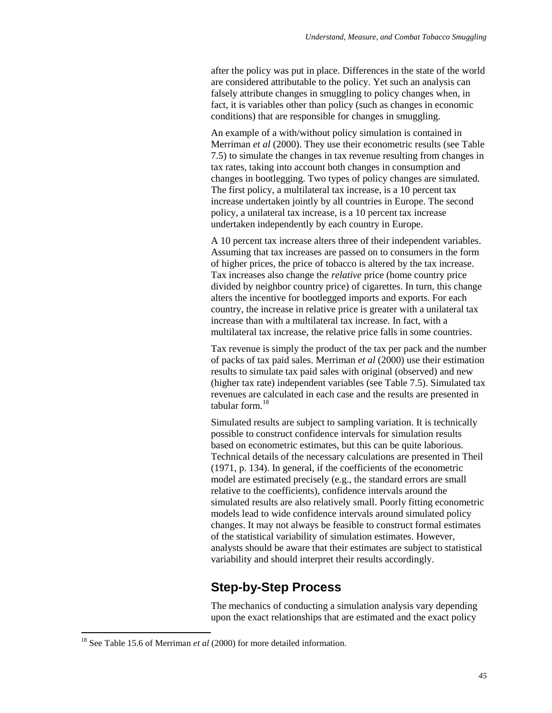after the policy was put in place. Differences in the state of the world are considered attributable to the policy. Yet such an analysis can falsely attribute changes in smuggling to policy changes when, in fact, it is variables other than policy (such as changes in economic conditions) that are responsible for changes in smuggling.

An example of a with/without policy simulation is contained in Merriman *et al* (2000). They use their econometric results (see Table 7.5) to simulate the changes in tax revenue resulting from changes in tax rates, taking into account both changes in consumption and changes in bootlegging. Two types of policy changes are simulated. The first policy, a multilateral tax increase, is a 10 percent tax increase undertaken jointly by all countries in Europe. The second policy, a unilateral tax increase, is a 10 percent tax increase undertaken independently by each country in Europe.

A 10 percent tax increase alters three of their independent variables. Assuming that tax increases are passed on to consumers in the form of higher prices, the price of tobacco is altered by the tax increase. Tax increases also change the *relative* price (home country price divided by neighbor country price) of cigarettes. In turn, this change alters the incentive for bootlegged imports and exports. For each country, the increase in relative price is greater with a unilateral tax increase than with a multilateral tax increase. In fact, with a multilateral tax increase, the relative price falls in some countries.

Tax revenue is simply the product of the tax per pack and the number of packs of tax paid sales. Merriman *et al* (2000) use their estimation results to simulate tax paid sales with original (observed) and new (higher tax rate) independent variables (see Table 7.5). Simulated tax revenues are calculated in each case and the results are presented in tabular form.<sup>18</sup>

Simulated results are subject to sampling variation. It is technically possible to construct confidence intervals for simulation results based on econometric estimates, but this can be quite laborious. Technical details of the necessary calculations are presented in Theil (1971, p. 134). In general, if the coefficients of the econometric model are estimated precisely (e.g., the standard errors are small relative to the coefficients), confidence intervals around the simulated results are also relatively small. Poorly fitting econometric models lead to wide confidence intervals around simulated policy changes. It may not always be feasible to construct formal estimates of the statistical variability of simulation estimates. However, analysts should be aware that their estimates are subject to statistical variability and should interpret their results accordingly.

## **Step-by-Step Process**

The mechanics of conducting a simulation analysis vary depending upon the exact relationships that are estimated and the exact policy

 $\overline{a}$ 

<sup>&</sup>lt;sup>18</sup> See Table 15.6 of Merriman *et al* (2000) for more detailed information.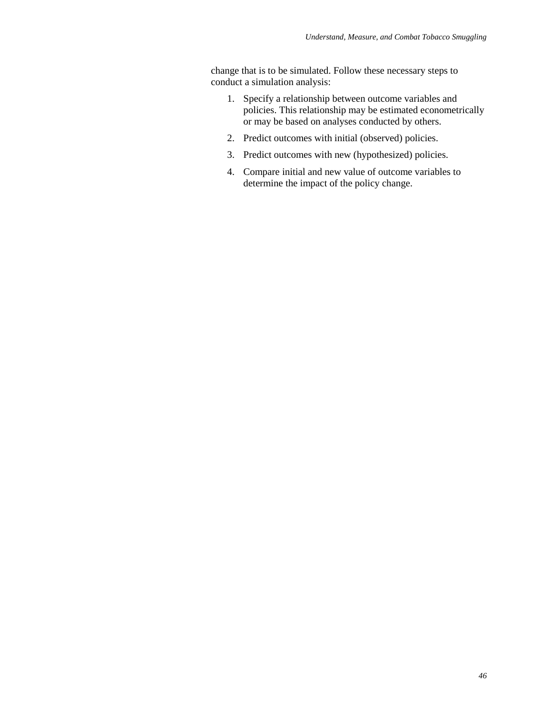change that is to be simulated. Follow these necessary steps to conduct a simulation analysis:

- 1. Specify a relationship between outcome variables and policies. This relationship may be estimated econometrically or may be based on analyses conducted by others.
- 2. Predict outcomes with initial (observed) policies.
- 3. Predict outcomes with new (hypothesized) policies.
- 4. Compare initial and new value of outcome variables to determine the impact of the policy change.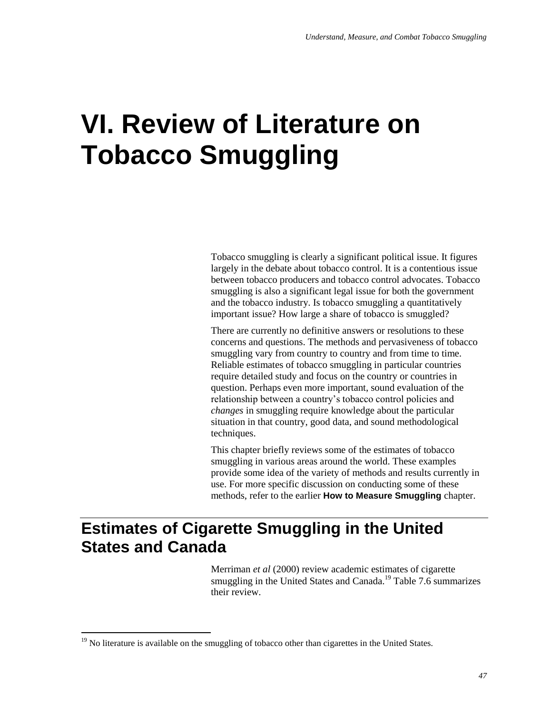# **VI. Review of Literature on Tobacco Smuggling**

Tobacco smuggling is clearly a significant political issue. It figures largely in the debate about tobacco control. It is a contentious issue between tobacco producers and tobacco control advocates. Tobacco smuggling is also a significant legal issue for both the government and the tobacco industry. Is tobacco smuggling a quantitatively important issue? How large a share of tobacco is smuggled?

There are currently no definitive answers or resolutions to these concerns and questions. The methods and pervasiveness of tobacco smuggling vary from country to country and from time to time. Reliable estimates of tobacco smuggling in particular countries require detailed study and focus on the country or countries in question. Perhaps even more important, sound evaluation of the relationship between a country's tobacco control policies and *changes* in smuggling require knowledge about the particular situation in that country, good data, and sound methodological techniques.

This chapter briefly reviews some of the estimates of tobacco smuggling in various areas around the world. These examples provide some idea of the variety of methods and results currently in use. For more specific discussion on conducting some of these methods, refer to the earlier **How to Measure Smuggling** chapter.

# **Estimates of Cigarette Smuggling in the United States and Canada**

Merriman *et al* (2000) review academic estimates of cigarette smuggling in the United States and Canada.<sup>19</sup> Table 7.6 summarizes their review.

 $\overline{a}$ 

 $19$  No literature is available on the smuggling of tobacco other than cigarettes in the United States.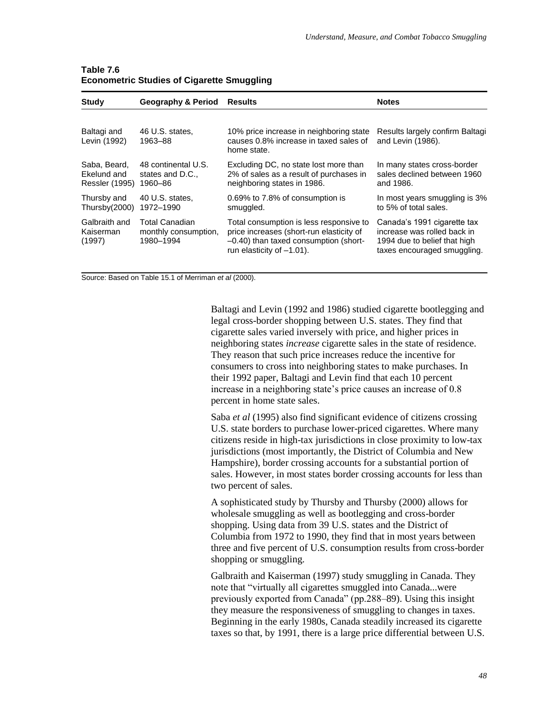| Study                                                | <b>Geography &amp; Period</b>                       | <b>Results</b>                                                                                                                                               | <b>Notes</b>                                                                                                              |
|------------------------------------------------------|-----------------------------------------------------|--------------------------------------------------------------------------------------------------------------------------------------------------------------|---------------------------------------------------------------------------------------------------------------------------|
| Baltagi and<br>Levin (1992)                          | 46 U.S. states,<br>1963-88                          | 10% price increase in neighboring state<br>causes 0.8% increase in taxed sales of<br>home state.                                                             | Results largely confirm Baltagi<br>and Levin (1986).                                                                      |
| Saba, Beard,<br>Ekelund and<br><b>Ressler (1995)</b> | 48 continental U.S.<br>states and D.C.,<br>1960-86  | Excluding DC, no state lost more than<br>2% of sales as a result of purchases in<br>neighboring states in 1986.                                              | In many states cross-border<br>sales declined between 1960<br>and 1986.                                                   |
| Thursby and<br>Thursby(2000)                         | 40 U.S. states.<br>1972-1990                        | 0.69% to 7.8% of consumption is<br>smuggled.                                                                                                                 | In most years smuggling is 3%<br>to 5% of total sales.                                                                    |
| Galbraith and<br>Kaiserman<br>(1997)                 | Total Canadian<br>monthly consumption,<br>1980-1994 | Total consumption is less responsive to<br>price increases (short-run elasticity of<br>-0.40) than taxed consumption (short-<br>run elasticity of $-1.01$ ). | Canada's 1991 cigarette tax<br>increase was rolled back in<br>1994 due to belief that high<br>taxes encouraged smuggling. |

#### **Table 7.6 Econometric Studies of Cigarette Smuggling**

Source: Based on Table 15.1 of Merriman *et al* (2000).

Baltagi and Levin (1992 and 1986) studied cigarette bootlegging and legal cross-border shopping between U.S. states. They find that cigarette sales varied inversely with price, and higher prices in neighboring states *increase* cigarette sales in the state of residence. They reason that such price increases reduce the incentive for consumers to cross into neighboring states to make purchases. In their 1992 paper, Baltagi and Levin find that each 10 percent increase in a neighboring state's price causes an increase of 0.8 percent in home state sales.

Saba *et al* (1995) also find significant evidence of citizens crossing U.S. state borders to purchase lower-priced cigarettes. Where many citizens reside in high-tax jurisdictions in close proximity to low-tax jurisdictions (most importantly, the District of Columbia and New Hampshire), border crossing accounts for a substantial portion of sales. However, in most states border crossing accounts for less than two percent of sales.

A sophisticated study by Thursby and Thursby (2000) allows for wholesale smuggling as well as bootlegging and cross-border shopping. Using data from 39 U.S. states and the District of Columbia from 1972 to 1990, they find that in most years between three and five percent of U.S. consumption results from cross-border shopping or smuggling.

Galbraith and Kaiserman (1997) study smuggling in Canada. They note that "virtually all cigarettes smuggled into Canada...were previously exported from Canada" (pp.288–89). Using this insight they measure the responsiveness of smuggling to changes in taxes. Beginning in the early 1980s, Canada steadily increased its cigarette taxes so that, by 1991, there is a large price differential between U.S.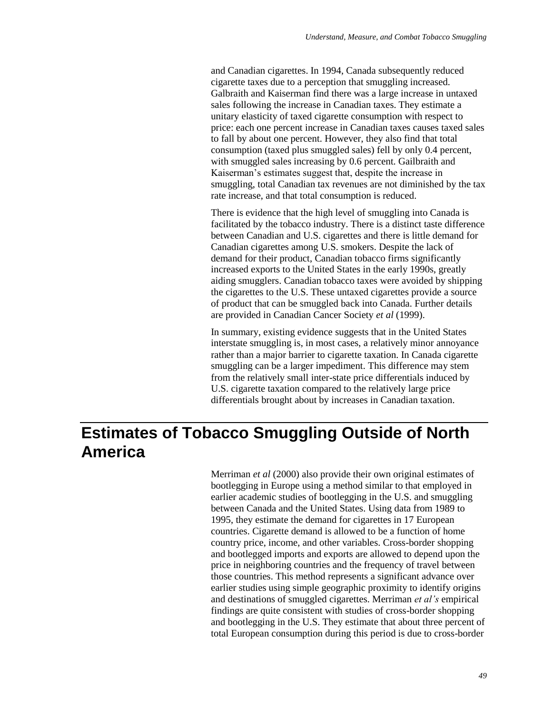and Canadian cigarettes. In 1994, Canada subsequently reduced cigarette taxes due to a perception that smuggling increased. Galbraith and Kaiserman find there was a large increase in untaxed sales following the increase in Canadian taxes. They estimate a unitary elasticity of taxed cigarette consumption with respect to price: each one percent increase in Canadian taxes causes taxed sales to fall by about one percent. However, they also find that total consumption (taxed plus smuggled sales) fell by only 0.4 percent, with smuggled sales increasing by 0.6 percent. Gailbraith and Kaiserman's estimates suggest that, despite the increase in smuggling, total Canadian tax revenues are not diminished by the tax rate increase, and that total consumption is reduced.

There is evidence that the high level of smuggling into Canada is facilitated by the tobacco industry. There is a distinct taste difference between Canadian and U.S. cigarettes and there is little demand for Canadian cigarettes among U.S. smokers. Despite the lack of demand for their product, Canadian tobacco firms significantly increased exports to the United States in the early 1990s, greatly aiding smugglers. Canadian tobacco taxes were avoided by shipping the cigarettes to the U.S. These untaxed cigarettes provide a source of product that can be smuggled back into Canada. Further details are provided in Canadian Cancer Society *et al* (1999).

In summary, existing evidence suggests that in the United States interstate smuggling is, in most cases, a relatively minor annoyance rather than a major barrier to cigarette taxation. In Canada cigarette smuggling can be a larger impediment. This difference may stem from the relatively small inter-state price differentials induced by U.S. cigarette taxation compared to the relatively large price differentials brought about by increases in Canadian taxation.

# **Estimates of Tobacco Smuggling Outside of North America**

Merriman *et al* (2000) also provide their own original estimates of bootlegging in Europe using a method similar to that employed in earlier academic studies of bootlegging in the U.S. and smuggling between Canada and the United States. Using data from 1989 to 1995, they estimate the demand for cigarettes in 17 European countries. Cigarette demand is allowed to be a function of home country price, income, and other variables. Cross-border shopping and bootlegged imports and exports are allowed to depend upon the price in neighboring countries and the frequency of travel between those countries. This method represents a significant advance over earlier studies using simple geographic proximity to identify origins and destinations of smuggled cigarettes. Merriman *et al's* empirical findings are quite consistent with studies of cross-border shopping and bootlegging in the U.S. They estimate that about three percent of total European consumption during this period is due to cross-border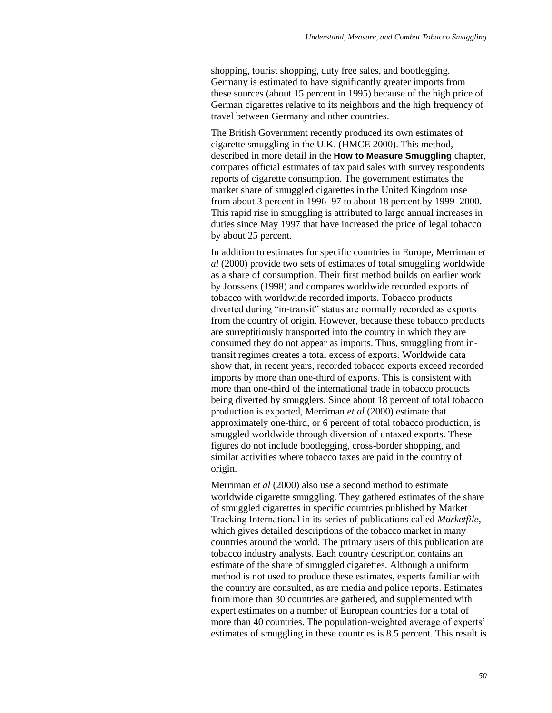shopping, tourist shopping, duty free sales, and bootlegging. Germany is estimated to have significantly greater imports from these sources (about 15 percent in 1995) because of the high price of German cigarettes relative to its neighbors and the high frequency of travel between Germany and other countries.

The British Government recently produced its own estimates of cigarette smuggling in the U.K. (HMCE 2000). This method, described in more detail in the **How to Measure Smuggling** chapter, compares official estimates of tax paid sales with survey respondents reports of cigarette consumption. The government estimates the market share of smuggled cigarettes in the United Kingdom rose from about 3 percent in 1996–97 to about 18 percent by 1999–2000. This rapid rise in smuggling is attributed to large annual increases in duties since May 1997 that have increased the price of legal tobacco by about 25 percent.

In addition to estimates for specific countries in Europe, Merriman *et al* (2000) provide two sets of estimates of total smuggling worldwide as a share of consumption. Their first method builds on earlier work by Joossens (1998) and compares worldwide recorded exports of tobacco with worldwide recorded imports. Tobacco products diverted during "in-transit" status are normally recorded as exports from the country of origin. However, because these tobacco products are surreptitiously transported into the country in which they are consumed they do not appear as imports. Thus, smuggling from intransit regimes creates a total excess of exports. Worldwide data show that, in recent years, recorded tobacco exports exceed recorded imports by more than one-third of exports. This is consistent with more than one-third of the international trade in tobacco products being diverted by smugglers. Since about 18 percent of total tobacco production is exported, Merriman *et al* (2000) estimate that approximately one-third, or 6 percent of total tobacco production, is smuggled worldwide through diversion of untaxed exports. These figures do not include bootlegging, cross-border shopping, and similar activities where tobacco taxes are paid in the country of origin.

Merriman *et al* (2000) also use a second method to estimate worldwide cigarette smuggling. They gathered estimates of the share of smuggled cigarettes in specific countries published by Market Tracking International in its series of publications called *Marketfile,* which gives detailed descriptions of the tobacco market in many countries around the world. The primary users of this publication are tobacco industry analysts. Each country description contains an estimate of the share of smuggled cigarettes. Although a uniform method is not used to produce these estimates, experts familiar with the country are consulted, as are media and police reports. Estimates from more than 30 countries are gathered, and supplemented with expert estimates on a number of European countries for a total of more than 40 countries. The population-weighted average of experts' estimates of smuggling in these countries is 8.5 percent. This result is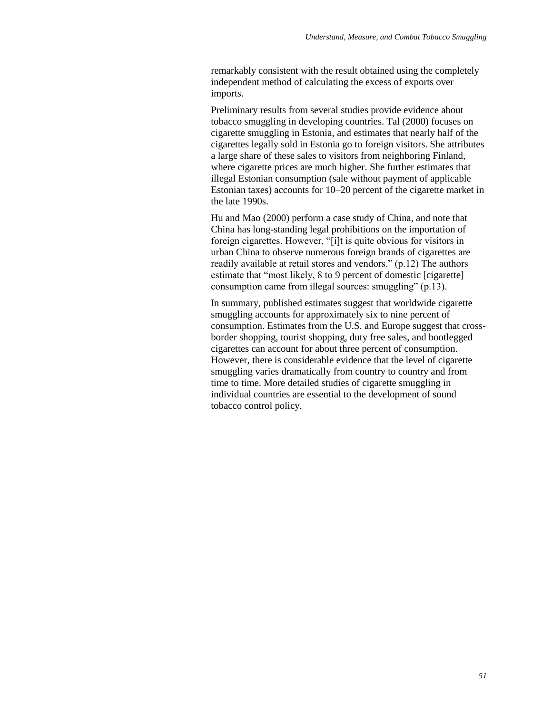remarkably consistent with the result obtained using the completely independent method of calculating the excess of exports over imports.

Preliminary results from several studies provide evidence about tobacco smuggling in developing countries. Tal (2000) focuses on cigarette smuggling in Estonia, and estimates that nearly half of the cigarettes legally sold in Estonia go to foreign visitors. She attributes a large share of these sales to visitors from neighboring Finland, where cigarette prices are much higher. She further estimates that illegal Estonian consumption (sale without payment of applicable Estonian taxes) accounts for 10–20 percent of the cigarette market in the late 1990s.

Hu and Mao (2000) perform a case study of China, and note that China has long-standing legal prohibitions on the importation of foreign cigarettes. However, "[i]t is quite obvious for visitors in urban China to observe numerous foreign brands of cigarettes are readily available at retail stores and vendors." (p.12) The authors estimate that "most likely, 8 to 9 percent of domestic [cigarette] consumption came from illegal sources: smuggling"  $(p.13)$ .

In summary, published estimates suggest that worldwide cigarette smuggling accounts for approximately six to nine percent of consumption. Estimates from the U.S. and Europe suggest that crossborder shopping, tourist shopping, duty free sales, and bootlegged cigarettes can account for about three percent of consumption. However, there is considerable evidence that the level of cigarette smuggling varies dramatically from country to country and from time to time. More detailed studies of cigarette smuggling in individual countries are essential to the development of sound tobacco control policy.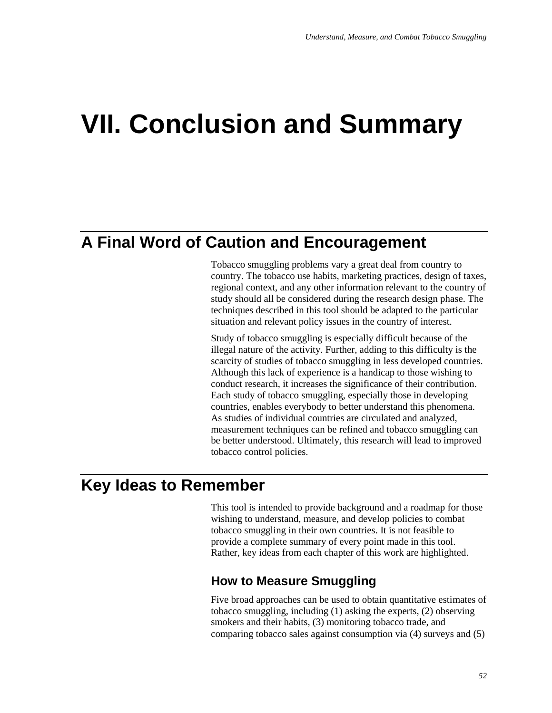# **VII. Conclusion and Summary**

# **A Final Word of Caution and Encouragement**

Tobacco smuggling problems vary a great deal from country to country. The tobacco use habits, marketing practices, design of taxes, regional context, and any other information relevant to the country of study should all be considered during the research design phase. The techniques described in this tool should be adapted to the particular situation and relevant policy issues in the country of interest.

Study of tobacco smuggling is especially difficult because of the illegal nature of the activity. Further, adding to this difficulty is the scarcity of studies of tobacco smuggling in less developed countries. Although this lack of experience is a handicap to those wishing to conduct research, it increases the significance of their contribution. Each study of tobacco smuggling, especially those in developing countries, enables everybody to better understand this phenomena. As studies of individual countries are circulated and analyzed, measurement techniques can be refined and tobacco smuggling can be better understood. Ultimately, this research will lead to improved tobacco control policies.

# **Key Ideas to Remember**

This tool is intended to provide background and a roadmap for those wishing to understand, measure, and develop policies to combat tobacco smuggling in their own countries. It is not feasible to provide a complete summary of every point made in this tool. Rather, key ideas from each chapter of this work are highlighted.

### **How to Measure Smuggling**

Five broad approaches can be used to obtain quantitative estimates of tobacco smuggling, including (1) asking the experts, (2) observing smokers and their habits, (3) monitoring tobacco trade, and comparing tobacco sales against consumption via (4) surveys and (5)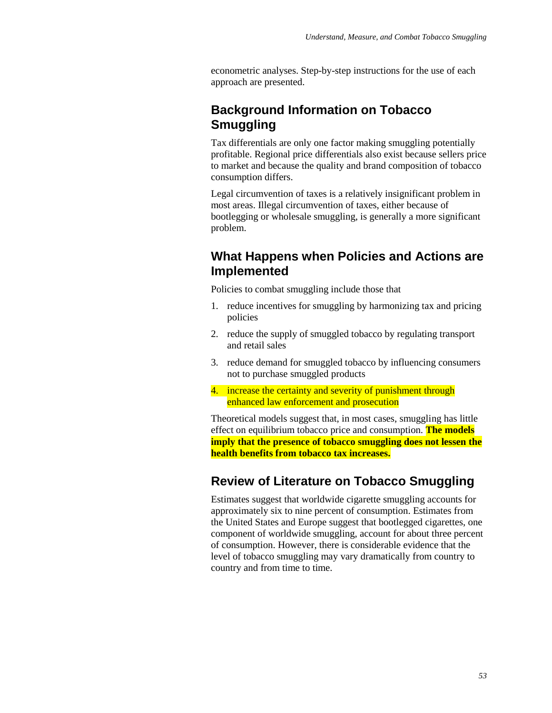econometric analyses. Step-by-step instructions for the use of each approach are presented.

## **Background Information on Tobacco Smuggling**

Tax differentials are only one factor making smuggling potentially profitable. Regional price differentials also exist because sellers price to market and because the quality and brand composition of tobacco consumption differs.

Legal circumvention of taxes is a relatively insignificant problem in most areas. Illegal circumvention of taxes, either because of bootlegging or wholesale smuggling, is generally a more significant problem.

## **What Happens when Policies and Actions are Implemented**

Policies to combat smuggling include those that

- 1. reduce incentives for smuggling by harmonizing tax and pricing policies
- 2. reduce the supply of smuggled tobacco by regulating transport and retail sales
- 3. reduce demand for smuggled tobacco by influencing consumers not to purchase smuggled products
- 4. increase the certainty and severity of punishment through enhanced law enforcement and prosecution

Theoretical models suggest that, in most cases, smuggling has little effect on equilibrium tobacco price and consumption. **The models imply that the presence of tobacco smuggling does not lessen the health benefits from tobacco tax increases.**

### **Review of Literature on Tobacco Smuggling**

Estimates suggest that worldwide cigarette smuggling accounts for approximately six to nine percent of consumption. Estimates from the United States and Europe suggest that bootlegged cigarettes, one component of worldwide smuggling, account for about three percent of consumption. However, there is considerable evidence that the level of tobacco smuggling may vary dramatically from country to country and from time to time.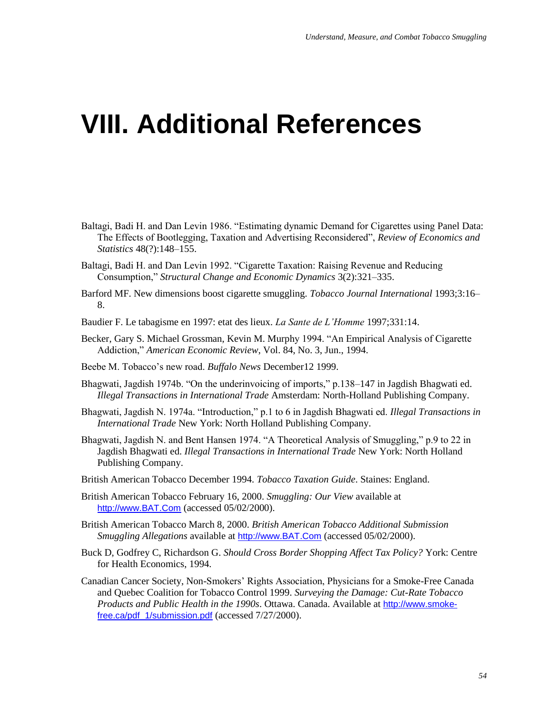# **VIII. Additional References**

- Baltagi, Badi H. and Dan Levin 1986. "Estimating dynamic Demand for Cigarettes using Panel Data: The Effects of Bootlegging, Taxation and Advertising Reconsidered", Review of Economics and *Statistics* 48(?):148–155.
- Baltagi, Badi H. and Dan Levin 1992. "Cigarette Taxation: Raising Revenue and Reducing Consumption," *Structural Change and Economic Dynamics* 3(2):321–335.
- Barford MF. New dimensions boost cigarette smuggling. *Tobacco Journal International* 1993;3:16– 8.
- Baudier F. Le tabagisme en 1997: etat des lieux. *La Sante de L'Homme* 1997;331:14.
- Becker, Gary S. Michael Grossman, Kevin M. Murphy 1994. "An Empirical Analysis of Cigarette Addiction," *American Economic Review*, Vol. 84, No. 3, Jun., 1994.
- Beebe M. Tobacco's new road. *Buffalo News* December12 1999.
- Bhagwati, Jagdish 1974b. "On the underinvoicing of imports," p.138–147 in Jagdish Bhagwati ed. *Illegal Transactions in International Trade* Amsterdam: North-Holland Publishing Company.
- Bhagwati, Jagdish N. 1974a. "Introduction," p.1 to 6 in Jagdish Bhagwati ed. *Illegal Transactions in International Trade* New York: North Holland Publishing Company.
- Bhagwati, Jagdish N. and Bent Hansen 1974. "A Theoretical Analysis of Smuggling," p.9 to 22 in Jagdish Bhagwati ed. *Illegal Transactions in International Trade* New York: North Holland Publishing Company.
- British American Tobacco December 1994. *Tobacco Taxation Guide*. Staines: England.
- British American Tobacco February 16, 2000. *Smuggling: Our View* available at http://www.BAT.Com (accessed 05/02/2000).
- British American Tobacco March 8, 2000. *British American Tobacco Additional Submission Smuggling Allegations* available at http://www.BAT.Com (accessed 05/02/2000).
- Buck D, Godfrey C, Richardson G. *Should Cross Border Shopping Affect Tax Policy?* York: Centre for Health Economics, 1994.
- Canadian Cancer Society, Non-Smokers' Rights Association, Physicians for a Smoke-Free Canada and Quebec Coalition for Tobacco Control 1999. *Surveying the Damage: Cut-Rate Tobacco Products and Public Health in the 1990s*. Ottawa. Canada. Available at [http://www.smoke](http://www.smoke-free.ca/pdf_1/submission.pdf)[free.ca/pdf\\_1/submission.pdf](http://www.smoke-free.ca/pdf_1/submission.pdf) (accessed 7/27/2000).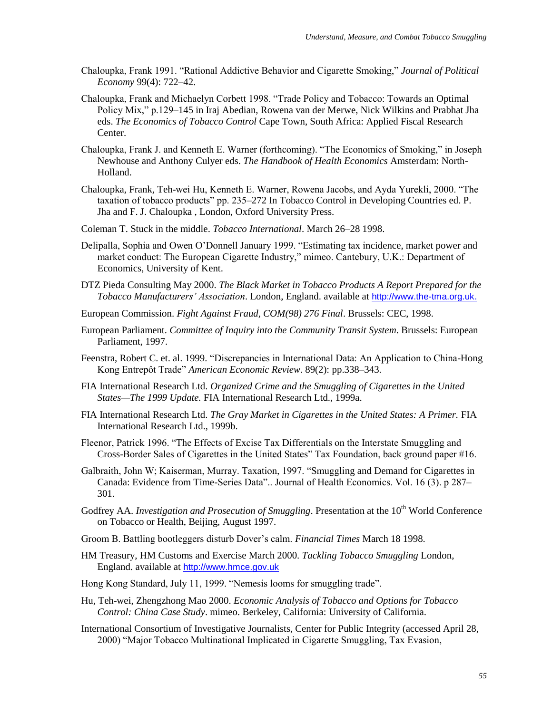- Chaloupka, Frank 1991. "Rational Addictive Behavior and Cigarette Smoking," *Journal of Political Economy* 99(4): 722–42.
- Chaloupka, Frank and Michaelyn Corbett 1998. "Trade Policy and Tobacco: Towards an Optimal Policy Mix," p.129–145 in Iraj Abedian, Rowena van der Merwe, Nick Wilkins and Prabhat Jha eds. *The Economics of Tobacco Control* Cape Town, South Africa: Applied Fiscal Research Center.
- Chaloupka, Frank J. and Kenneth E. Warner (forthcoming). "The Economics of Smoking," in Joseph Newhouse and Anthony Culyer eds. *The Handbook of Health Economics* Amsterdam: North-Holland.
- Chaloupka, Frank, Teh-wei Hu, Kenneth E. Warner, Rowena Jacobs, and Ayda Yurekli, 2000. "The taxation of tobacco products" pp. 235–272 In Tobacco Control in Developing Countries ed. P. Jha and F. J. Chaloupka , London, Oxford University Press.
- Coleman T. Stuck in the middle. *Tobacco International*. March 26–28 1998.
- Delipalla, Sophia and Owen O'Donnell January 1999. "Estimating tax incidence, market power and market conduct: The European Cigarette Industry," mimeo. Cantebury, U.K.: Department of Economics, University of Kent.
- DTZ Pieda Consulting May 2000. *The Black Market in Tobacco Products A Report Prepared for the Tobacco Manufacturers' Association*. London, England. available at [http://www.the-tma.org.uk.](http://www.the-tma.org.uk/)
- European Commission. *Fight Against Fraud, COM(98) 276 Final*. Brussels: CEC, 1998.
- European Parliament. *Committee of Inquiry into the Community Transit System*. Brussels: European Parliament, 1997.
- Feenstra, Robert C. et. al. 1999. "Discrepancies in International Data: An Application to China-Hong Kong Entrepôt Trade" *American Economic Review*. 89(2): pp.338–343.
- FIA International Research Ltd. *Organized Crime and the Smuggling of Cigarettes in the United States—The 1999 Update.* FIA International Research Ltd., 1999a.
- FIA International Research Ltd. *The Gray Market in Cigarettes in the United States: A Primer.* FIA International Research Ltd., 1999b.
- Fleenor, Patrick 1996. "The Effects of Excise Tax Differentials on the Interstate Smuggling and Cross-Border Sales of Cigarettes in the United States‖ Tax Foundation, back ground paper #16.
- Galbraith, John W; Kaiserman, Murray. Taxation, 1997. "Smuggling and Demand for Cigarettes in Canada: Evidence from Time-Series Data".. Journal of Health Economics. Vol. 16 (3). p 287– 301.
- Godfrey AA. *Investigation and Prosecution of Smuggling*. Presentation at the 10<sup>th</sup> World Conference on Tobacco or Health, Beijing, August 1997.
- Groom B. Battling bootleggers disturb Dover's calm. *Financial Times* March 18 1998.
- HM Treasury, HM Customs and Exercise March 2000. *Tackling Tobacco Smuggling* London, England. available at [http://www.hmce.gov.uk](http://www.hmce.gov.uk/)
- Hong Kong Standard, July 11, 1999. "Nemesis looms for smuggling trade".
- Hu, Teh-wei, Zhengzhong Mao 2000. *Economic Analysis of Tobacco and Options for Tobacco Control: China Case Study*. mimeo. Berkeley, California: University of California.
- International Consortium of Investigative Journalists, Center for Public Integrity (accessed April 28, 2000) "Major Tobacco Multinational Implicated in Cigarette Smuggling, Tax Evasion,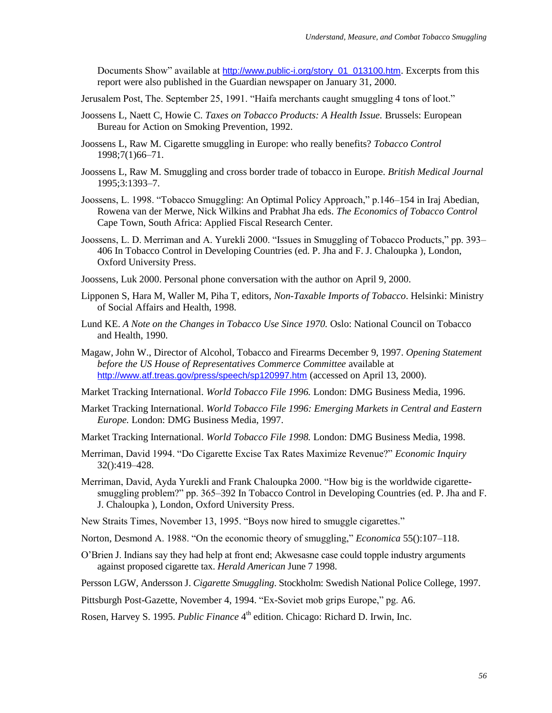Documents Show" available at http://www.public-i.org/story\_01\_013100.htm. Excerpts from this report were also published in the Guardian newspaper on January 31, 2000.

Jerusalem Post, The. September 25, 1991. "Haifa merchants caught smuggling 4 tons of loot."

- Joossens L, Naett C, Howie C. *Taxes on Tobacco Products: A Health Issue.* Brussels: European Bureau for Action on Smoking Prevention, 1992.
- Joossens L, Raw M. Cigarette smuggling in Europe: who really benefits? *Tobacco Control* 1998;7(1)66–71.
- Joossens L, Raw M. Smuggling and cross border trade of tobacco in Europe. *British Medical Journal* 1995;3:1393–7.
- Joossens, L. 1998. "Tobacco Smuggling: An Optimal Policy Approach," p.146-154 in Iraj Abedian, Rowena van der Merwe, Nick Wilkins and Prabhat Jha eds. *The Economics of Tobacco Control* Cape Town, South Africa: Applied Fiscal Research Center.
- Joossens, L. D. Merriman and A. Yurekli 2000. "Issues in Smuggling of Tobacco Products," pp. 393– 406 In Tobacco Control in Developing Countries (ed. P. Jha and F. J. Chaloupka ), London, Oxford University Press.
- Joossens, Luk 2000. Personal phone conversation with the author on April 9, 2000.
- Lipponen S, Hara M, Waller M, Piha T, editors, *Non-Taxable Imports of Tobacco*. Helsinki: Ministry of Social Affairs and Health, 1998.
- Lund KE. *A Note on the Changes in Tobacco Use Since 1970.* Oslo: National Council on Tobacco and Health, 1990.
- Magaw, John W., Director of Alcohol, Tobacco and Firearms December 9, 1997. *Opening Statement before the US House of Representatives Commerce Committee* available at http://www.atf.treas.gov/press/speech/sp120997.htm (accessed on April 13, 2000).
- Market Tracking International. *World Tobacco File 1996.* London: DMG Business Media, 1996.
- Market Tracking International. *World Tobacco File 1996: Emerging Markets in Central and Eastern Europe.* London: DMG Business Media, 1997.
- Market Tracking International. *World Tobacco File 1998.* London: DMG Business Media, 1998.
- Merriman, David 1994. "Do Cigarette Excise Tax Rates Maximize Revenue?" *Economic Inquiry* 32():419–428.
- Merriman, David, Ayda Yurekli and Frank Chaloupka 2000. "How big is the worldwide cigarettesmuggling problem?" pp. 365–392 In Tobacco Control in Developing Countries (ed. P. Jha and F. J. Chaloupka ), London, Oxford University Press.
- New Straits Times, November 13, 1995. "Boys now hired to smuggle cigarettes."
- Norton, Desmond A. 1988. "On the economic theory of smuggling," *Economica* 55():107–118.
- O'Brien J. Indians say they had help at front end; Akwesasne case could topple industry arguments against proposed cigarette tax. *Herald American* June 7 1998.
- Persson LGW, Andersson J. *Cigarette Smuggling*. Stockholm: Swedish National Police College, 1997.

Pittsburgh Post-Gazette, November 4, 1994. "Ex-Soviet mob grips Europe," pg. A6.

Rosen, Harvey S. 1995. *Public Finance* 4 th edition. Chicago: Richard D. Irwin, Inc.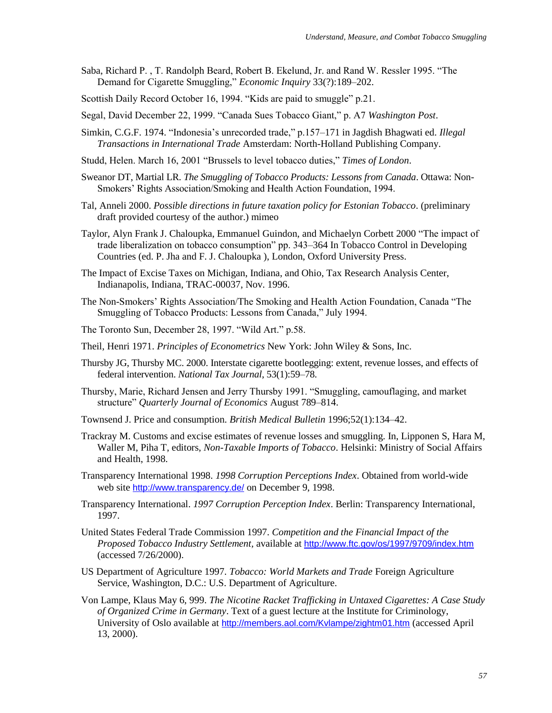- Saba, Richard P., T. Randolph Beard, Robert B. Ekelund, Jr. and Rand W. Ressler 1995. "The Demand for Cigarette Smuggling," *Economic Inquiry* 33(?):189–202.
- Scottish Daily Record October 16, 1994. "Kids are paid to smuggle" p.21.
- Segal, David December 22, 1999. "Canada Sues Tobacco Giant," p. A7 Washington Post.
- Simkin, C.G.F. 1974. "Indonesia's unrecorded trade," p.157-171 in Jagdish Bhagwati ed. *Illegal Transactions in International Trade* Amsterdam: North-Holland Publishing Company.
- Studd, Helen. March 16, 2001 "Brussels to level tobacco duties," Times of London.
- Sweanor DT, Martial LR. *The Smuggling of Tobacco Products: Lessons from Canada*. Ottawa: Non-Smokers' Rights Association/Smoking and Health Action Foundation, 1994.
- Tal, Anneli 2000. *Possible directions in future taxation policy for Estonian Tobacco*. (preliminary draft provided courtesy of the author.) mimeo
- Taylor, Alyn Frank J. Chaloupka, Emmanuel Guindon, and Michaelyn Corbett 2000 "The impact of trade liberalization on tobacco consumption" pp. 343–364 In Tobacco Control in Developing Countries (ed. P. Jha and F. J. Chaloupka ), London, Oxford University Press.
- The Impact of Excise Taxes on Michigan, Indiana, and Ohio, Tax Research Analysis Center, Indianapolis, Indiana, TRAC-00037, Nov. 1996.
- The Non-Smokers' Rights Association/The Smoking and Health Action Foundation, Canada "The Smuggling of Tobacco Products: Lessons from Canada," July 1994.
- The Toronto Sun, December 28, 1997. "Wild Art." p.58.
- Theil, Henri 1971. *Principles of Econometrics* New York: John Wiley & Sons, Inc.
- Thursby JG, Thursby MC. 2000. Interstate cigarette bootlegging: extent, revenue losses, and effects of federal intervention. *National Tax Journal*, 53(1):59–78.
- Thursby, Marie, Richard Jensen and Jerry Thursby 1991. "Smuggling, camouflaging, and market structure" *Quarterly Journal of Economics* August 789–814.
- Townsend J. Price and consumption. *British Medical Bulletin* 1996;52(1):134–42.
- Trackray M. Customs and excise estimates of revenue losses and smuggling. In, Lipponen S, Hara M, Waller M, Piha T, editors, *Non-Taxable Imports of Tobacco*. Helsinki: Ministry of Social Affairs and Health, 1998.
- Transparency International 1998. *1998 Corruption Perceptions Index*. Obtained from world-wide web site http://www.transparency.de/ on December 9, 1998.
- Transparency International. *1997 Corruption Perception Index*. Berlin: Transparency International, 1997.
- United States Federal Trade Commission 1997. *Competition and the Financial Impact of the Proposed Tobacco Industry Settlement,* available at <http://www.ftc.gov/os/1997/9709/index.htm> (accessed 7/26/2000).
- US Department of Agriculture 1997. *Tobacco: World Markets and Trade* Foreign Agriculture Service, Washington, D.C.: U.S. Department of Agriculture.
- Von Lampe, Klaus May 6, 999. *The Nicotine Racket Trafficking in Untaxed Cigarettes: A Case Study of Organized Crime in Germany*. Text of a guest lecture at the Institute for Criminology, University of Oslo available at http://members.aol.com/Kvlampe/zightm01.htm (accessed April 13, 2000).